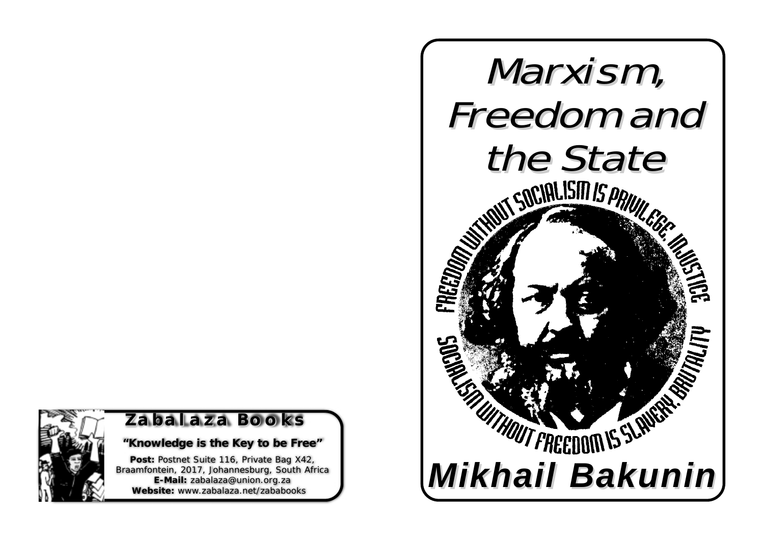

## **Zabalaza Books balaza Books**

## *"Knowledge is the Key to be Free"*

Post: Postnet Suite 116, Private Bag X42, Braamfontein, 2017, Johannesburg, South Africa **E-Mail:** zabalaza@union.org.za **Website:** www.zabalaza.net/zababooks

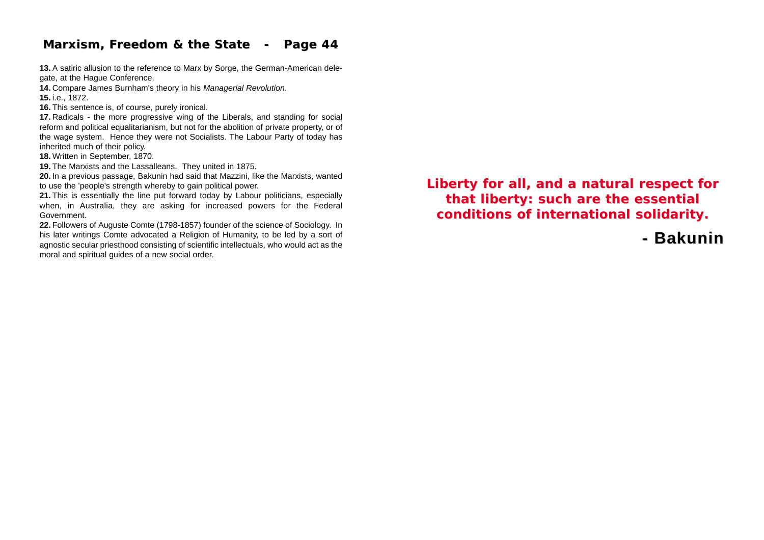## **Marxism, Freedom & the State - Page 44 Marxism, Freedom & the State - Page 44**

**13.** A satiric allusion to the reference to Marx by Sorge, the German-American delegate, at the Hague Conference.

**14.** Compare James Burnham's theory in his *Managerial Revolution.* **15.** i.e., 1872.

**16.** This sentence is, of course, purely ironical.

**17.** Radicals - the more progressive wing of the Liberals, and standing for social reform and political equalitarianism, but not for the abolition of private property, or of the wage system. Hence they were not Socialists. The Labour Party of today has inherited much of their policy.

**18.** Written in September, 1870.

**19.** The Marxists and the Lassalleans. They united in 1875.

**20.** In a previous passage, Bakunin had said that Mazzini, like the Marxists, wanted to use the 'people's strength whereby to gain political power.

**21.** This is essentially the line put forward today by Labour politicians, especially when, in Australia, they are asking for increased powers for the Federal Government.

**22.** Followers of Auguste Comte (1798-1857) founder of the science of Sociology. In his later writings Comte advocated a Religion of Humanity, to be led by a sort of agnostic secular priesthood consisting of scientific intellectuals, who would act as the moral and spiritual guides of a new social order.

*Liberty for all, and a natural respect for Liberty for all, and a natural respect for that liberty: such are the essential conditions of international solidarity. conditions of international solidarity.*

## **- Bakunin - Bakunin**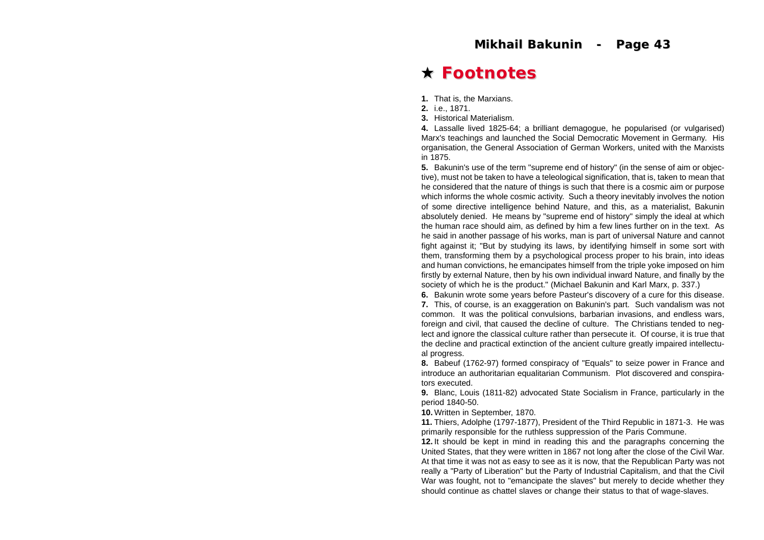## ! **Footnotes Footnotes**

- **1.** That is, the Marxians.
- **2.** i.e., 1871.
- **3.** Historical Materialism.

**4.** Lassalle lived 1825-64; a brilliant demagogue, he popularised (or vulgarised) Marx's teachings and launched the Social Democratic Movement in Germany. His organisation, the General Association of German Workers, united with the Marxists in 1875.

**5.** Bakunin's use of the term "supreme end of history" (in the sense of aim or objective), must not be taken to have a teleological signification, that is, taken to mean that he considered that the nature of things is such that there is a cosmic aim or purpose which informs the whole cosmic activity. Such a theory inevitably involves the notion of some directive intelligence behind Nature, and this, as a materialist, Bakunin absolutely denied. He means by "supreme end of history" simply the ideal at which the human race should aim, as defined by him a few lines further on in the text. As he said in another passage of his works, man is part of universal Nature and cannot fight against it; "But by studying its laws, by identifying himself in some sort with them, transforming them by a psychological process proper to his brain, into ideas and human convictions, he emancipates himself from the triple yoke imposed on him firstly by external Nature, then by his own individual inward Nature, and finally by the society of which he is the product." (Michael Bakunin and Karl Marx, p. 337.)

**6.** Bakunin wrote some years before Pasteur's discovery of a cure for this disease. **7.** This, of course, is an exaggeration on Bakunin's part. Such vandalism was not common. It was the political convulsions, barbarian invasions, and endless wars, foreign and civil, that caused the decline of culture. The Christians tended to neglect and ignore the classical culture rather than persecute it. Of course, it is true that the decline and practical extinction of the ancient culture greatly impaired intellectual progress.

**8.** Babeuf (1762-97) formed conspiracy of "Equals" to seize power in France and introduce an authoritarian equalitarian Communism. Plot discovered and conspirators executed.

**9.** Blanc, Louis (1811-82) advocated State Socialism in France, particularly in the period 1840-50.

**10.** Written in September, 1870.

**11.** Thiers, Adolphe (1797-1877), President of the Third Republic in 1871-3. He was primarily responsible for the ruthless suppression of the Paris Commune.

**12.** It should be kept in mind in reading this and the paragraphs concerning the United States, that they were written in 1867 not long after the close of the Civil War. At that time it was not as easy to see as it is now, that the Republican Party was not really a "Party of Liberation" but the Party of Industrial Capitalism, and that the Civil War was fought, not to "emancipate the slaves" but merely to decide whether they should continue as chattel slaves or change their status to that of wage-slaves.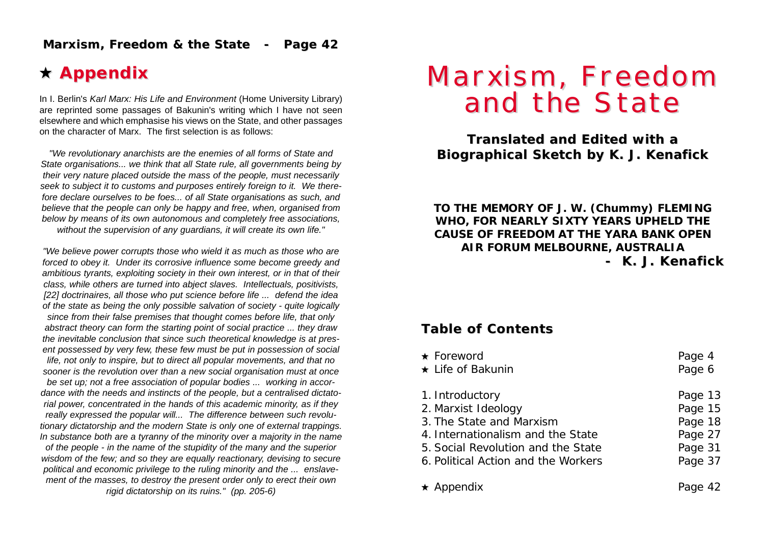## ! **Appendix Appendix**

In I. Berlin's *Karl Marx: His Life and Environment* (Home University Library) are reprinted some passages of Bakunin's writing which I have not seen elsewhere and which emphasise his views on the State, and other passages on the character of Marx. The first selection is as follows:

*"We revolutionary anarchists are the enemies of all forms of State and State organisations... we think that all State rule, all governments being by their very nature placed outside the mass of the people, must necessarily seek to subject it to customs and purposes entirely foreign to it. We therefore declare ourselves to be foes... of all State organisations as such, and believe that the people can only be happy and free, when, organised from below by means of its own autonomous and completely free associations, without the supervision of any guardians, it will create its own life."*

*"We believe power corrupts those who wield it as much as those who are forced to obey it. Under its corrosive influence some become greedy and ambitious tyrants, exploiting society in their own interest, or in that of their class, while others are turned into abject slaves. Intellectuals, positivists, [22] doctrinaires, all those who put science before life ... defend the idea of the state as being the only possible salvation of society - quite logically since from their false premises that thought comes before life, that only abstract theory can form the starting point of social practice ... they draw the inevitable conclusion that since such theoretical knowledge is at present possessed by very few, these few must be put in possession of social life, not only to inspire, but to direct all popular movements, and that no sooner is the revolution over than a new social organisation must at once be set up; not a free association of popular bodies ... working in accordance with the needs and instincts of the people, but a centralised dictatorial power, concentrated in the hands of this academic minority, as if they really expressed the popular will... The difference between such revolutionary dictatorship and the modern State is only one of external trappings. In substance both are a tyranny of the minority over a majority in the name of the people - in the name of the stupidity of the many and the superior wisdom of the few; and so they are equally reactionary, devising to secure political and economic privilege to the ruling minority and the ... enslavement of the masses, to destroy the present order only to erect their own rigid dictatorship on its ruins." (pp. 205-6)*

# Marxism, Freedom and the State

**Translated and Edited with a Translated and Edited with a Biographical Sketch by K. J. Kenafick Biographical Sketch by K. J. Kenafick** 

*TO THE MEMORY OF J. W. (Chummy) FLEMING WHO, FOR NEARLY SIXTY YEARS UPHELD THE CAUSE OF FREEDOM AT THE YARA BANK OPEN AIR FORUM MELBOURNE, AUSTRALIA*

*- K. J. Kenafick - K. J. Kenafick*

## *Table of Contents Table of Contents*

| $\star$ Foreword                    | Page 4  |
|-------------------------------------|---------|
| $\star$ Life of Bakunin             | Page 6  |
|                                     |         |
| 1. Introductory                     | Page 13 |
| 2. Marxist Ideology                 | Page 15 |
| 3. The State and Marxism            | Page 18 |
| 4. Internationalism and the State   | Page 27 |
| 5. Social Revolution and the State  | Page 31 |
| 6. Political Action and the Workers | Page 37 |
|                                     |         |
|                                     |         |

★ Appendix Page 42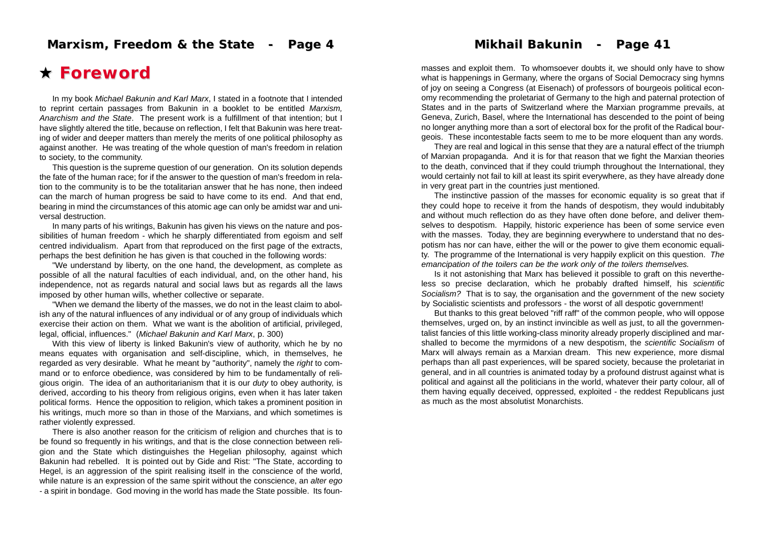## **Marxism, Freedom & the State - Page 4 Marxism, Freedom & the State - Page 4 Mikhail Bakunin - Page 41 Mikhail Bakunin - Page 41**

## ! **Foreword Foreword**

In my book *Michael Bakunin and Karl Marx*, I stated in a footnote that I intended to reprint certain passages from Bakunin in a booklet to be entitled *Marxism, Anarchism and the State*. The present work is a fulfillment of that intention; but I have slightly altered the title, because on reflection, I felt that Bakunin was here treating of wider and deeper matters than merely the merits of one political philosophy as against another. He was treating of the whole question of man's freedom in relation to society, to the community.

This question is the supreme question of our generation. On its solution depends the fate of the human race; for if the answer to the question of man's freedom in relation to the community is to be the totalitarian answer that he has none, then indeed can the march of human progress be said to have come to its end. And that end, bearing in mind the circumstances of this atomic age can only be amidst war and universal destruction.

In many parts of his writings, Bakunin has given his views on the nature and possibilities of human freedom - which he sharply differentiated from egoism and self centred individualism. Apart from that reproduced on the first page of the extracts, perhaps the best definition he has given is that couched in the following words:

"We understand by liberty, on the one hand, the development, as complete as possible of all the natural faculties of each individual, and, on the other hand, his independence, not as regards natural and social laws but as regards all the laws imposed by other human wills, whether collective or separate.

"When we demand the liberty of the masses, we do not in the least claim to abolish any of the natural influences of any individual or of any group of individuals which exercise their action on them. What we want is the abolition of artificial, privileged, legal, official, influences." (*Michael Bakunin and Karl Marx*, p. 300)

With this view of liberty is linked Bakunin's view of authority, which he by no means equates with organisation and self-discipline, which, in themselves, he regarded as very desirable. What he meant by "authority", namely the *right* to command or to enforce obedience, was considered by him to be fundamentally of religious origin. The idea of an authoritarianism that it is our *duty* to obey authority, is derived, according to his theory from religious origins, even when it has later taken political forms. Hence the opposition to religion, which takes a prominent position in his writings, much more so than in those of the Marxians, and which sometimes is rather violently expressed.

There is also another reason for the criticism of religion and churches that is to be found so frequently in his writings, and that is the close connection between religion and the State which distinguishes the Hegelian philosophy, against which Bakunin had rebelled. It is pointed out by Gide and Rist: "The State, according to Hegel, is an aggression of the spirit realising itself in the conscience of the world, while nature is an expression of the same spirit without the conscience, an *alter ego* - a spirit in bondage. God moving in the world has made the State possible. Its foun-

masses and exploit them. To whomsoever doubts it, we should only have to show what is happenings in Germany, where the organs of Social Democracy sing hymns of joy on seeing a Congress (at Eisenach) of professors of bourgeois political econ omy recommending the proletariat of Germany to the high and paternal protection of States and in the parts of Switzerland where the Marxian programme prevails, at Geneva, Zurich, Basel, where the International has descended to the point of being no longer anything more than a sort of electoral box for the profit of the Radical bour geois. These incontestable facts seem to me to be more eloquent than any words.

They are real and logical in this sense that they are a natural effect of the triumph of Marxian propaganda. And it is for that reason that we fight the Marxian theories to the death, convinced that if they could triumph throughout the International, they would certainly not fail to kill at least its spirit everywhere, as they have already done in very great part in the countries just mentioned.

The instinctive passion of the masses for economic equality is so great that if they could hope to receive it from the hands of despotism, they would indubitably and without much reflection do as they have often done before, and deliver them selves to despotism. Happily, historic experience has been of some service even with the masses. Today, they are beginning everywhere to understand that no des potism has nor can have, either the will or the power to give them economic equali ty. The programme of the International is very happily explicit on this question. *The emancipation of the toilers can be the work only of the toilers themselves.*

Is it not astonishing that Marx has believed it possible to graft on this neverthe less so precise declaration, which he probably drafted himself, his *scientific Socialism?* That is to say, the organisation and the government of the new society by Socialistic scientists and professors - the worst of all despotic government!

But thanks to this great beloved "riff raff" of the common people, who will oppose themselves, urged on, by an instinct invincible as well as just, to all the governmen talist fancies of this little working-class minority already properly disciplined and mar shalled to become the myrmidons of a new despotism, the *scientific Socialism* of Marx will always remain as a Marxian dream. This new experience, more dismal perhaps than all past experiences, will be spared society, because the proletariat in general, and in all countries is animated today by a profound distrust against what is political and against all the politicians in the world, whatever their party colour, all of them having equally deceived, oppressed, exploited - the reddest Republicans just as much as the most absolutist Monarchists.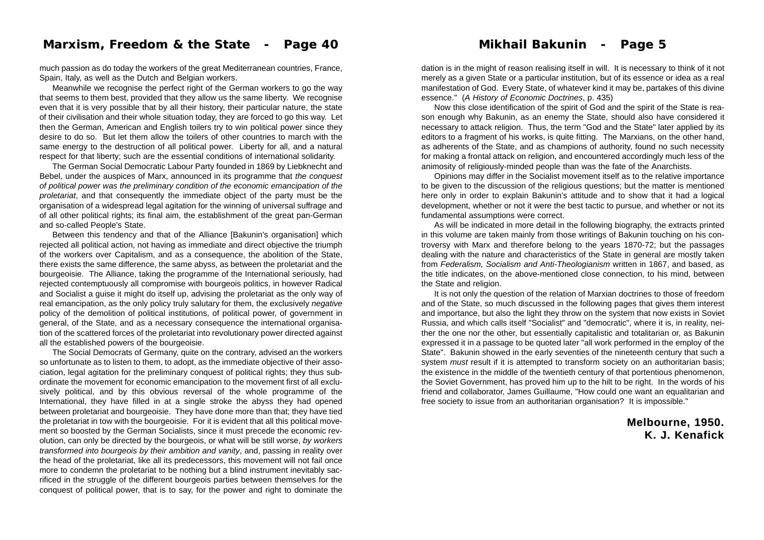much passion as do today the workers of the great Mediterranean countries, France, Spain, Italy, as well as the Dutch and Belgian workers.

Meanwhile we recognise the perfect right of the German workers to go the way that seems to them best, provided that they allow us the same liberty. We recognise even that it is very possible that by all their history, their particular nature, the state of their civilisation and their whole situation today, they are forced to go this way. Let then the German, American and English toilers try to win political power since they desire to do so. But let them allow the toilers of other countries to march with the same energy to the destruction of all political power. Liberty for all, and a natural respect for that liberty; such are the essential conditions of international solidarity.

The German Social Democratic Labour Party founded in 1869 by Liebknecht and Bebel, under the auspices of Marx, announced in its programme that *the conquest of political power was the preliminary condition of the economic emancipation of the proletariat*, and that consequently the immediate object of the party must be the organisation of a widespread legal agitation for the winning of universal suffrage and of all other political rights; its final aim, the establishment of the great pan-German and so-called People's State.

Between this tendency and that of the Alliance [Bakunin's organisation] which rejected all political action, not having as immediate and direct objective the triumph of the workers over Capitalism, and as a consequence, the abolition of the State, there exists the same difference, the same abyss, as between the proletariat and the bourgeoisie. The Alliance, taking the programme of the International seriously, had rejected contemptuously all compromise with bourgeois politics, in however Radical and Socialist a guise it might do itself up, advising the proletariat as the only way of real emancipation, as the only policy truly salutary for them, the exclusively *negative* policy of the demolition of political institutions, of political power, of government in general, of the State, and as a necessary consequence the international organisation of the scattered forces of the proletariat into revolutionary power directed against all the established powers of the bourgeoisie.

The Social Democrats of Germany, quite on the contrary, advised an the workers so unfortunate as to listen to them, to adopt, as the immediate objective of their association, legal agitation for the preliminary conquest of political rights; they thus subordinate the movement for economic emancipation to the movement first of all exclusively political, and by this obvious reversal of the whole programme of the International, they have filled in at a single stroke the abyss they had opened between proletariat and bourgeoisie. They have done more than that; they have tied the proletariat in tow with the bourgeoisie. For it is evident that all this political movement so boosted by the German Socialists, since it must precede the economic revolution, can only be directed by the bourgeois, or what will be still worse, *by workers transformed into bourgeois by their ambition and vanity*, and, passing in reality over the head of the proletariat, like all its predecessors, this movement will not fail once more to condemn the proletariat to be nothing but a blind instrument inevitably sacrificed in the struggle of the different bourgeois parties between themselves for the conquest of political power, that is to say, for the power and right to dominate the dation is in the might of reason realising itself in will. It is necessary to think of it not merely as a given State or a particular institution, but of its essence or idea as a real manifestation of God. Every State, of whatever kind it may be, partakes of this divine essence." (*A History of Economic Doctrines*, p. 435)

Now this close identification of the spirit of God and the spirit of the State is reason enough why Bakunin, as an enemy the State, should also have considered it necessary to attack religion. Thus, the term "God and the State" later applied by its editors to a fragment of his works, is quite fitting. The Marxians, on the other hand, as adherents of the State, and as champions of authority, found no such necessity for making a frontal attack on religion, and encountered accordingly much less of the animosity of religiously-minded people than was the fate of the Anarchists.

Opinions may differ in the Socialist movement itself as to the relative importance to be given to the discussion of the religious questions; but the matter is mentioned here only in order to explain Bakunin's attitude and to show that it had a logical development, whether or not it were the best tactic to pursue, and whether or not its fundamental assumptions were correct.

As will be indicated in more detail in the following biography, the extracts printed in this volume are taken mainly from those writings of Bakunin touching on his controversy with Marx and therefore belong to the years 1870-72; but the passages dealing with the nature and characteristics of the State in general are mostly taken from *Federalism, Socialism and Anti-Theologianism* written in 1867, and based, as the title indicates, on the above-mentioned close connection, to his mind, between the State and religion.

It is not only the question of the relation of Marxian doctrines to those of freedom and of the State, so much discussed in the following pages that gives them interest and importance, but also the light they throw on the system that now exists in Soviet Russia, and which calls itself "Socialist" and "democratic", where it is, in reality, neither the one nor the other, but essentially capitalistic and totalitarian or, as Bakunin expressed it in a passage to be quoted later "all work performed in the employ of the State". Bakunin showed in the early seventies of the nineteenth century that such a system *must* result if it is attempted to transform society on an authoritarian basis; the existence in the middle of the twentieth century of that portentious phenomenon, the Soviet Government, has proved him up to the hilt to be right. In the words of his friend and collaborator, James Guillaume, "How could one want an equalitarian and free society to issue from an authoritarian organisation? It is impossible."

> **Melbourne, 1950. Melbourne, 1950. K. J. Kenafick K. J. Kenafick**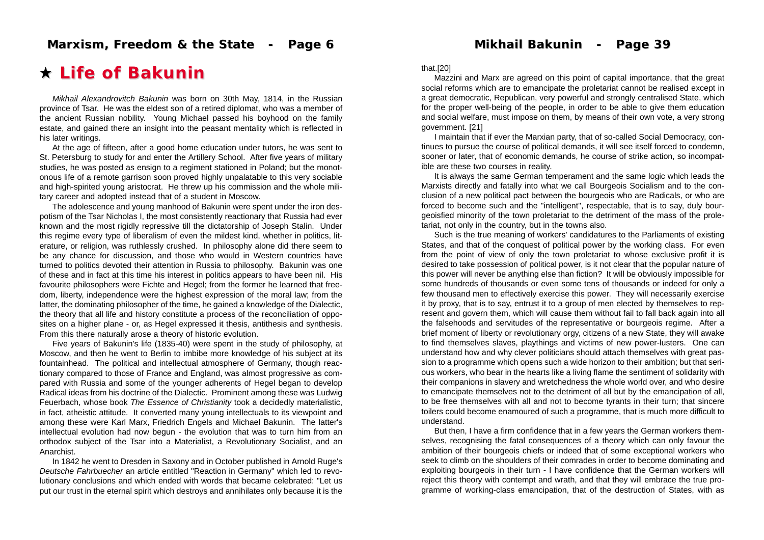## **Mikhail Bakunin - Page 39 Mikhail Bakunin - Page 39**

## ! **Life of Bakunin Life of Bakunin**

*Mikhail Alexandrovitch Bakunin* was born on 30th May, 1814, in the Russian province of Tsar. He was the eldest son of a retired diplomat, who was a member of the ancient Russian nobility. Young Michael passed his boyhood on the family estate, and gained there an insight into the peasant mentality which is reflected in his later writings.

At the age of fifteen, after a good home education under tutors, he was sent to St. Petersburg to study for and enter the Artillery School. After five years of military studies, he was posted as ensign to a regiment stationed in Poland; but the monotonous life of a remote garrison soon proved highly unpalatable to this very sociable and high-spirited young aristocrat. He threw up his commission and the whole military career and adopted instead that of a student in Moscow.

The adolescence and young manhood of Bakunin were spent under the iron despotism of the Tsar Nicholas I, the most consistently reactionary that Russia had ever known and the most rigidly repressive till the dictatorship of Joseph Stalin. Under this regime every type of liberalism of even the mildest kind, whether in politics, literature, or religion, was ruthlessly crushed. In philosophy alone did there seem to be any chance for discussion, and those who would in Western countries have turned to politics devoted their attention in Russia to philosophy. Bakunin was one of these and in fact at this time his interest in politics appears to have been nil. His favourite philosophers were Fichte and Hegel; from the former he learned that freedom, liberty, independence were the highest expression of the moral law; from the latter, the dominating philosopher of the time, he gained a knowledge of the Dialectic, the theory that all life and history constitute a process of the reconciliation of opposites on a higher plane - or, as Hegel expressed it thesis, antithesis and synthesis. From this there naturally arose a theory of historic evolution.

Five years of Bakunin's life (1835-40) were spent in the study of philosophy, at Moscow, and then he went to Berlin to imbibe more knowledge of his subject at its fountainhead. The political and intellectual atmosphere of Germany, though reactionary compared to those of France and England, was almost progressive as compared with Russia and some of the younger adherents of Hegel began to develop Radical ideas from his doctrine of the Dialectic. Prominent among these was Ludwig Feuerbach, whose book *The Essence of Christianity* took a decidedly materialistic, in fact, atheistic attitude. It converted many young intellectuals to its viewpoint and among these were Karl Marx, Friedrich Engels and Michael Bakunin. The latter's intellectual evolution had now begun - the evolution that was to turn him from an orthodox subject of the Tsar into a Materialist, a Revolutionary Socialist, and an Anarchist.

In 1842 he went to Dresden in Saxony and in October published in Arnold Ruge's *Deutsche Fahrbuecher* an article entitled "Reaction in Germany" which led to revolutionary conclusions and which ended with words that became celebrated: "Let us put our trust in the eternal spirit which destroys and annihilates only because it is the that.[20]

Mazzini and Marx are agreed on this point of capital importance, that the great social reforms which are to emancipate the proletariat cannot be realised except in a great democratic, Republican, very powerful and strongly centralised State, which for the proper well-being of the people, in order to be able to give them education and social welfare, must impose on them, by means of their own vote, a very strong government. [21]

I maintain that if ever the Marxian party, that of so-called Social Democracy, continues to pursue the course of political demands, it will see itself forced to condemn, sooner or later, that of economic demands, he course of strike action, so incompatible are these two courses in reality.

It is always the same German temperament and the same logic which leads the Marxists directly and fatally into what we call Bourgeois Socialism and to the conclusion of a new political pact between the bourgeois who are Radicals, or who are forced to become such and the "intelligent", respectable, that is to say, duly bourgeoisfied minority of the town proletariat to the detriment of the mass of the proletariat, not only in the country, but in the towns also.

Such is the true meaning of workers' candidatures to the Parliaments of existing States, and that of the conquest of political power by the working class. For even from the point of view of only the town proletariat to whose exclusive profit it is desired to take possession of political power, is it not clear that the popular nature of this power will never be anything else than fiction? It will be obviously impossible for some hundreds of thousands or even some tens of thousands or indeed for only a few thousand men to effectively exercise this power. They will necessarily exercise it by proxy, that is to say, entrust it to a group of men elected by themselves to represent and govern them, which will cause them without fail to fall back again into all the falsehoods and servitudes of the representative or bourgeois regime. After a brief moment of liberty or revolutionary orgy, citizens of a new State, they will awake to find themselves slaves, playthings and victims of new power-lusters. One can understand how and why clever politicians should attach themselves with great passion to a programme which opens such a wide horizon to their ambition; but that serious workers, who bear in the hearts like a living flame the sentiment of solidarity with their companions in slavery and wretchedness the whole world over, and who desire to emancipate themselves not to the detriment of all but by the emancipation of all, to be free themselves with all and not to become tyrants in their turn; that sincere toilers could become enamoured of such a programme, that is much more difficult to understand.

But then, I have a firm confidence that in a few years the German workers themselves, recognising the fatal consequences of a theory which can only favour the ambition of their bourgeois chiefs or indeed that of some exceptional workers who seek to climb on the shoulders of their comrades in order to become dominating and exploiting bourgeois in their turn - I have confidence that the German workers will reject this theory with contempt and wrath, and that they will embrace the true programme of working-class emancipation, that of the destruction of States, with as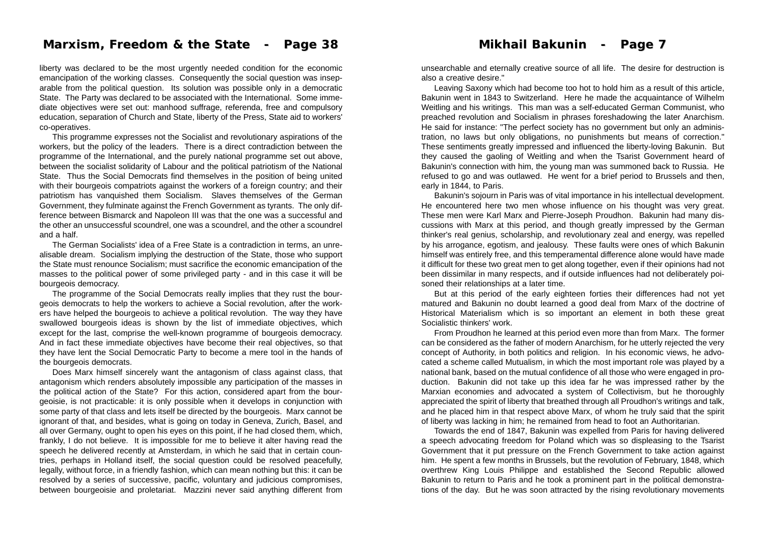### **Marxism, Freedom & the State - Page 38** Mikhail Bakunin - Page 7

liberty was declared to be the most urgently needed condition for the economic emancipation of the working classes. Consequently the social question was inseparable from the political question. Its solution was possible only in a democratic State. The Party was declared to be associated with the International. Some immediate objectives were set out: manhood suffrage, referenda, free and compulsory education, separation of Church and State, liberty of the Press, State aid to workers' co-operatives.

This programme expresses not the Socialist and revolutionary aspirations of the workers, but the policy of the leaders. There is a direct contradiction between the programme of the International, and the purely national programme set out above, between the socialist solidarity of Labour and the political patriotism of the National State. Thus the Social Democrats find themselves in the position of being united with their bourgeois compatriots against the workers of a foreign country; and their patriotism has vanquished them Socialism. Slaves themselves of the German Government, they fulminate against the French Government as tyrants. The only difference between Bismarck and Napoleon III was that the one was a successful and the other an unsuccessful scoundrel, one was a scoundrel, and the other a scoundrel and a half.

The German Socialists' idea of a Free State is a contradiction in terms, an unrealisable dream. Socialism implying the destruction of the State, those who support the State must renounce Socialism; must sacrifice the economic emancipation of the masses to the political power of some privileged party - and in this case it will be bourgeois democracy.

The programme of the Social Democrats really implies that they rust the bourgeois democrats to help the workers to achieve a Social revolution, after the workers have helped the bourgeois to achieve a political revolution. The way they have swallowed bourgeois ideas is shown by the list of immediate objectives, which except for the last, comprise the well-known programme of bourgeois democracy. And in fact these immediate objectives have become their real objectives, so that they have lent the Social Democratic Party to become a mere tool in the hands of the bourgeois democrats.

Does Marx himself sincerely want the antagonism of class against class, that antagonism which renders absolutely impossible any participation of the masses in the political action of the State? For this action, considered apart from the bourgeoisie, is not practicable: it is only possible when it develops in conjunction with some party of that class and lets itself be directed by the bourgeois. Marx cannot be ignorant of that, and besides, what is going on today in Geneva, Zurich, Basel, and all over Germany, ought to open his eyes on this point, if he had closed them, which, frankly, I do not believe. It is impossible for me to believe it alter having read the speech he delivered recently at Amsterdam, in which he said that in certain countries, perhaps in Holland itself, the social question could be resolved peacefully, legally, without force, in a friendly fashion, which can mean nothing but this: it can be resolved by a series of successive, pacific, voluntary and judicious compromises, between bourgeoisie and proletariat. Mazzini never said anything different from

unsearchable and eternally creative source of all life. The desire for destruction is also a creative desire."

Leaving Saxony which had become too hot to hold him as a result of this article, Bakunin went in 1843 to Switzerland. Here he made the acquaintance of Wilhelm Weitling and his writings. This man was a self-educated German Communist, who preached revolution and Socialism in phrases foreshadowing the later Anarchism. He said for instance: "The perfect society has no government but only an administration, no laws but only obligations, no punishments but means of correction." These sentiments greatly impressed and influenced the liberty-loving Bakunin. But they caused the gaoling of Weitling and when the Tsarist Government heard of Bakunin's connection with him, the young man was summoned back to Russia. He refused to go and was outlawed. He went for a brief period to Brussels and then, early in 1844, to Paris.

Bakunin's sojourn in Paris was of vital importance in his intellectual development. He encountered here two men whose influence on his thought was very great. These men were Karl Marx and Pierre-Joseph Proudhon. Bakunin had many discussions with Marx at this period, and though greatly impressed by the German thinker's real genius, scholarship, and revolutionary zeal and energy, was repelled by his arrogance, egotism, and jealousy. These faults were ones of which Bakunin himself was entirely free, and this temperamental difference alone would have made it difficult for these two great men to get along together, even if their opinions had not been dissimilar in many respects, and if outside influences had not deliberately poisoned their relationships at a later time.

But at this period of the early eighteen forties their differences had not yet matured and Bakunin no doubt learned a good deal from Marx of the doctrine of Historical Materialism which is so important an element in both these great Socialistic thinkers' work.

From Proudhon he learned at this period even more than from Marx. The former can be considered as the father of modern Anarchism, for he utterly rejected the very concept of Authority, in both politics and religion. In his economic views, he advocated a scheme called Mutualism, in which the most important role was played by a national bank, based on the mutual confidence of all those who were engaged in production. Bakunin did not take up this idea far he was impressed rather by the Marxian economies and advocated a system of Collectivism, but he thoroughly appreciated the spirit of liberty that breathed through all Proudhon's writings and talk, and he placed him in that respect above Marx, of whom he truly said that the spirit of liberty was lacking in him; he remained from head to foot an Authoritarian.

Towards the end of 1847, Bakunin was expelled from Paris for having delivered a speech advocating freedom for Poland which was so displeasing to the Tsarist Government that it put pressure on the French Government to take action against him. He spent a few months in Brussels, but the revolution of February, 1848, which overthrew King Louis Philippe and established the Second Republic allowed Bakunin to return to Paris and he took a prominent part in the political demonstrations of the day. But he was soon attracted by the rising revolutionary movements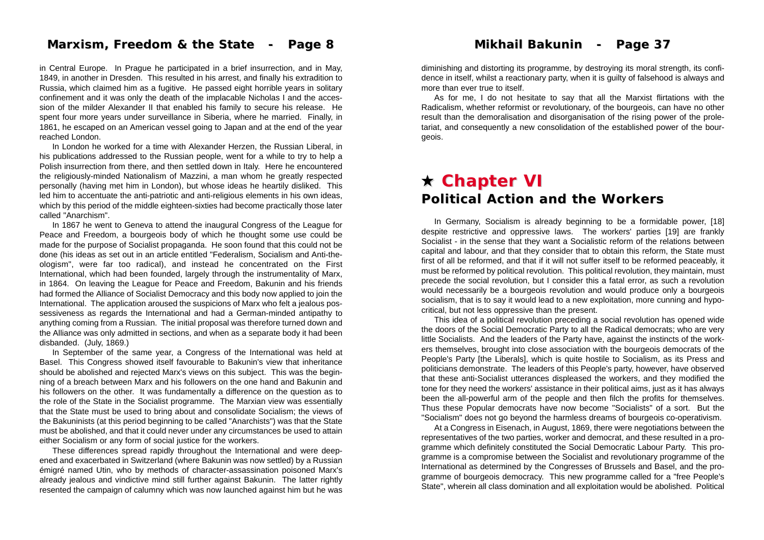### **Marxism, Freedom & the State - Page 8 Marxism, Freedom & the State - Page 8 Mikhail Bakunin - Page 37 Mikhail Bakunin - Page 37**

in Central Europe. In Prague he participated in a brief insurrection, and in May, 1849, in another in Dresden. This resulted in his arrest, and finally his extradition to Russia, which claimed him as a fugitive. He passed eight horrible years in solitary confinement and it was only the death of the implacable Nicholas I and the accession of the milder Alexander II that enabled his family to secure his release. He spent four more years under surveillance in Siberia, where he married. Finally, in 1861, he escaped on an American vessel going to Japan and at the end of the year reached London.

In London he worked for a time with Alexander Herzen, the Russian Liberal, in his publications addressed to the Russian people, went for a while to try to help a Polish insurrection from there, and then settled down in Italy. Here he encountered the religiously-minded Nationalism of Mazzini, a man whom he greatly respected personally (having met him in London), but whose ideas he heartily disliked. This led him to accentuate the anti-patriotic and anti-religious elements in his own ideas, which by this period of the middle eighteen-sixties had become practically those later called "Anarchism".

In 1867 he went to Geneva to attend the inaugural Congress of the League for Peace and Freedom, a bourgeois body of which he thought some use could be made for the purpose of Socialist propaganda. He soon found that this could not be done (his ideas as set out in an article entitled "Federalism, Socialism and Anti-theologism", were far too radical), and instead he concentrated on the First International, which had been founded, largely through the instrumentality of Marx, in 1864. On leaving the League for Peace and Freedom, Bakunin and his friends had formed the Alliance of Socialist Democracy and this body now applied to join the International. The application aroused the suspicions of Marx who felt a jealous possessiveness as regards the International and had a German-minded antipathy to anything coming from a Russian. The initial proposal was therefore turned down and the Alliance was only admitted in sections, and when as a separate body it had been disbanded. (July, 1869.)

In September of the same year, a Congress of the International was held at Basel. This Congress showed itself favourable to Bakunin's view that inheritance should be abolished and rejected Marx's views on this subject. This was the beginning of a breach between Marx and his followers on the one hand and Bakunin and his followers on the other. It was fundamentally a difference on the question as to the role of the State in the Socialist programme. The Marxian view was essentially that the State must be used to bring about and consolidate Socialism; the views of the Bakuninists (at this period beginning to be called "Anarchists") was that the State must be abolished, and that it could never under any circumstances be used to attain either Socialism or any form of social justice for the workers.

These differences spread rapidly throughout the International and were deepened and exacerbated in Switzerland (where Bakunin was now settled) by a Russian émigré named Utin, who by methods of character-assassination poisoned Marx's already jealous and vindictive mind still further against Bakunin. The latter rightly resented the campaign of calumny which was now launched against him but he was

diminishing and distorting its programme, by destroying its moral strength, its confidence in itself, whilst a reactionary party, when it is guilty of falsehood is always and more than ever true to itself.

As for me, I do not hesitate to say that all the Marxist flirtations with the Radicalism, whether reformist or revolutionary, of the bourgeois, can have no other result than the demoralisation and disorganisation of the rising power of the proletariat, and consequently a new consolidation of the established power of the bourgeois.

## ! **Chapter VI Chapter VI** *Political Action and the Workers Political Action and the Workers*

In Germany, Socialism is already beginning to be a formidable power, [18] despite restrictive and oppressive laws. The workers' parties [19] are frankly Socialist - in the sense that they want a Socialistic reform of the relations between capital and labour, and that they consider that to obtain this reform, the State must first of all be reformed, and that if it will not suffer itself to be reformed peaceably, it must be reformed by political revolution. This political revolution, they maintain, must precede the social revolution, but I consider this a fatal error, as such a revolution would necessarily be a bourgeois revolution and would produce only a bourgeois socialism, that is to say it would lead to a new exploitation, more cunning and hypocritical, but not less oppressive than the present.

This idea of a political revolution preceding a social revolution has opened wide the doors of the Social Democratic Party to all the Radical democrats; who are very little Socialists. And the leaders of the Party have, against the instincts of the workers themselves, brought into close association with the bourgeois democrats of the People's Party [the Liberals], which is quite hostile to Socialism, as its Press and politicians demonstrate. The leaders of this People's party, however, have observed that these anti-Socialist utterances displeased the workers, and they modified the tone for they need the workers' assistance in their political aims, just as it has always been the all-powerful arm of the people and then filch the profits for themselves. Thus these Popular democrats have now become "Socialists" of a sort. But the "Socialism" does not go beyond the harmless dreams of bourgeois co-operativism.

At a Congress in Eisenach, in August, 1869, there were negotiations between the representatives of the two parties, worker and democrat, and these resulted in a programme which definitely constituted the Social Democratic Labour Party. This programme is a compromise between the Socialist and revolutionary programme of the International as determined by the Congresses of Brussels and Basel, and the programme of bourgeois democracy. This new programme called for a "free People's State", wherein all class domination and all exploitation would be abolished. Political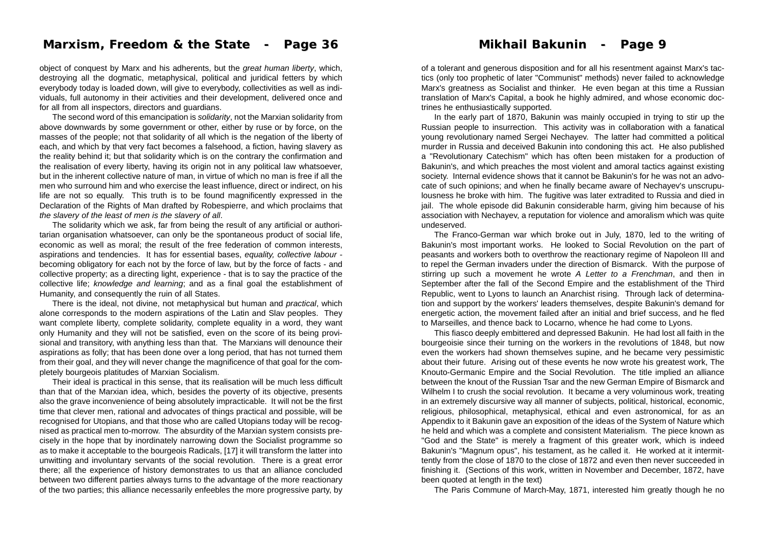## **Marxism, Freedom & the State - Page 36 Marxism, Freedom & the State - Page 36Mikhail Bakunin - Page 9 Mikhail Bakunin - Page 9**

object of conquest by Marx and his adherents, but the *great human liberty*, which, destroying all the dogmatic, metaphysical, political and juridical fetters by which everybody today is loaded down, will give to everybody, collectivities as well as individuals, full autonomy in their activities and their development, delivered once and for all from all inspectors, directors and guardians.

The second word of this emancipation is *solidarity*, not the Marxian solidarity from above downwards by some government or other, either by ruse or by force, on the masses of the people; not that solidarity of all which is the negation of the liberty of each, and which by that very fact becomes a falsehood, a fiction, having slavery as the reality behind it; but that solidarity which is on the contrary the confirmation and the realisation of every liberty, having its origin not in any political law whatsoever, but in the inherent collective nature of man, in virtue of which no man is free if all the men who surround him and who exercise the least influence, direct or indirect, on his life are not so equally. This truth is to be found magnificently expressed in the Declaration of the Rights of Man drafted by Robespierre, and which proclaims that *the slavery of the least of men is the slavery of all*.

The solidarity which we ask, far from being the result of any artificial or authoritarian organisation whatsoever, can only be the spontaneous product of social life, economic as well as moral; the result of the free federation of common interests, aspirations and tendencies. It has for essential bases, *equality, collective labour* becoming obligatory for each not by the force of law, but by the force of facts - and collective property; as a directing light, experience - that is to say the practice of the collective life; *knowledge and learning*; and as a final goal the establishment of Humanity, and consequently the ruin of all States.

There is the ideal, not divine, not metaphysical but human and *practical*, which alone corresponds to the modern aspirations of the Latin and Slav peoples. They want complete liberty, complete solidarity, complete equality in a word, they want only Humanity and they will not be satisfied, even on the score of its being provisional and transitory, with anything less than that. The Marxians will denounce their aspirations as folly; that has been done over a long period, that has not turned them from their goal, and they will never change the magnificence of that goal for the completely bourgeois platitudes of Marxian Socialism.

Their ideal is practical in this sense, that its realisation will be much less difficult than that of the Marxian idea, which, besides the poverty of its objective, presents also the grave inconvenience of being absolutely impracticable. It will not be the first time that clever men, rational and advocates of things practical and possible, will be recognised for Utopians, and that those who are called Utopians today will be recognised as practical men to-morrow. The absurdity of the Marxian system consists precisely in the hope that by inordinately narrowing down the Socialist programme so as to make it acceptable to the bourgeois Radicals, [17] it will transform the latter into unwitting and involuntary servants of the social revolution. There is a great error there; all the experience of history demonstrates to us that an alliance concluded between two different parties always turns to the advantage of the more reactionary of the two parties; this alliance necessarily enfeebles the more progressive party, by

of a tolerant and generous disposition and for all his resentment against Marx's tactics (only too prophetic of later "Communist" methods) never failed to acknowledge Marx's greatness as Socialist and thinker. He even began at this time a Russian translation of Marx's Capital, a book he highly admired, and whose economic doctrines he enthusiastically supported.

In the early part of 1870, Bakunin was mainly occupied in trying to stir up the Russian people to insurrection. This activity was in collaboration with a fanatical young revolutionary named Sergei Nechayev. The latter had committed a political murder in Russia and deceived Bakunin into condoning this act. He also published <sup>a</sup>"Revolutionary Catechism" which has often been mistaken for a production of Bakunin's, and which preaches the most violent and amoral tactics against existing society. Internal evidence shows that it cannot be Bakunin's for he was not an advocate of such opinions; and when he finally became aware of Nechayev's unscrupulousness he broke with him. The fugitive was later extradited to Russia and died in jail. The whole episode did Bakunin considerable harm, giving him because of his association with Nechayev, a reputation for violence and amoralism which was quite undeserved.

The Franco-German war which broke out in July, 1870, led to the writing of Bakunin's most important works. He looked to Social Revolution on the part of peasants and workers both to overthrow the reactionary regime of Napoleon III and to repel the German invaders under the direction of Bismarck. With the purpose of stirring up such a movement he wrote *A Letter to a Frenchman*, and then in September after the fall of the Second Empire and the establishment of the Third Republic, went to Lyons to launch an Anarchist rising. Through lack of determination and support by the workers' leaders themselves, despite Bakunin's demand for energetic action, the movement failed after an initial and brief success, and he fled to Marseilles, and thence back to Locarno, whence he had come to Lyons.

This fiasco deeply embittered and depressed Bakunin. He had lost all faith in the bourgeoisie since their turning on the workers in the revolutions of 1848, but now even the workers had shown themselves supine, and he became very pessimistic about their future. Arising out of these events he now wrote his greatest work, The Knouto-Germanic Empire and the Social Revolution. The title implied an alliance between the knout of the Russian Tsar and the new German Empire of Bismarck and Wilhelm I to crush the social revolution. It became a very voluminous work, treating in an extremely discursive way all manner of subjects, political, historical, economic, religious, philosophical, metaphysical, ethical and even astronomical, for as an Appendix to it Bakunin gave an exposition of the ideas of the System of Nature which he held and which was a complete and consistent Materialism. The piece known as "God and the State" is merely a fragment of this greater work, which is indeed Bakunin's "Magnum opus", his testament, as he called it. He worked at it intermittently from the close of 1870 to the close of 1872 and even then never succeeded in finishing it. (Sections of this work, written in November and December, 1872, have been quoted at length in the text)

The Paris Commune of March-May, 1871, interested him greatly though he no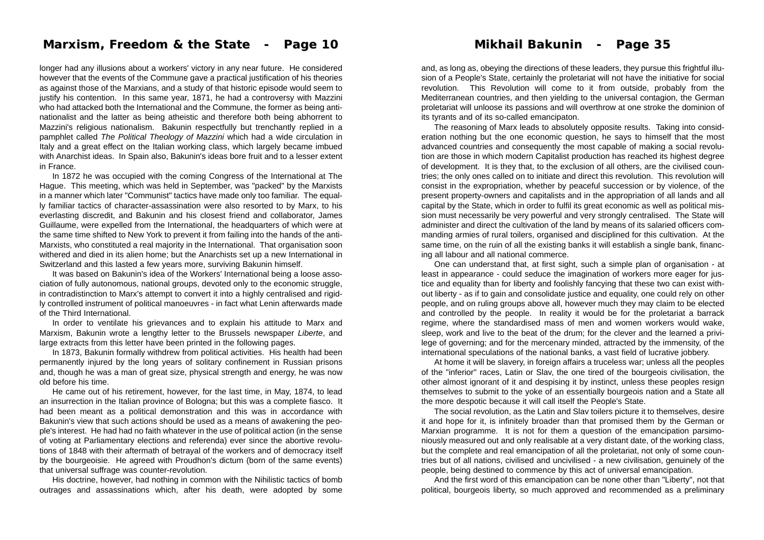### **Marxism, Freedom & the State - Page 10 Mikhail Bakunin - Page 35**

longer had any illusions about a workers' victory in any near future. He considered however that the events of the Commune gave a practical justification of his theories as against those of the Marxians, and a study of that historic episode would seem to justify his contention. In this same year, 1871, he had a controversy with Mazzini who had attacked both the International and the Commune, the former as being antinationalist and the latter as being atheistic and therefore both being abhorrent to Mazzini's religious nationalism. Bakunin respectfully but trenchantly replied in a pamphlet called *The Political Theology of Mazzini* which had a wide circulation in Italy and a great effect on the Italian working class, which largely became imbued with Anarchist ideas. In Spain also, Bakunin's ideas bore fruit and to a lesser extent in France.

In 1872 he was occupied with the coming Congress of the International at The Hague. This meeting, which was held in September, was "packed" by the Marxists in a manner which later "Communist" tactics have made only too familiar. The equally familiar tactics of character-assassination were also resorted to by Marx, to his everlasting discredit, and Bakunin and his closest friend and collaborator, James Guillaume, were expelled from the International, the headquarters of which were at the same time shifted to New York to prevent it from failing into the hands of the anti-Marxists, who constituted a real majority in the International. That organisation soon withered and died in its alien home; but the Anarchists set up a new International in Switzerland and this lasted a few years more, surviving Bakunin himself.

It was based on Bakunin's idea of the Workers' International being a loose association of fully autonomous, national groups, devoted only to the economic struggle, in contradistinction to Marx's attempt to convert it into a highly centralised and rigidly controlled instrument of political manoeuvres - in fact what Lenin afterwards made of the Third International.

In order to ventilate his grievances and to explain his attitude to Marx and Marxism, Bakunin wrote a lengthy letter to the Brussels newspaper *Liberte*, and large extracts from this letter have been printed in the following pages.

In 1873, Bakunin formally withdrew from political activities. His health had been permanently injured by the long years of solitary confinement in Russian prisons and, though he was a man of great size, physical strength and energy, he was now old before his time.

He came out of his retirement, however, for the last time, in May, 1874, to lead an insurrection in the Italian province of Bologna; but this was a complete fiasco. It had been meant as a political demonstration and this was in accordance with Bakunin's view that such actions should be used as a means of awakening the people's interest. He had had no faith whatever in the use of political action (in the sense of voting at Parliamentary elections and referenda) ever since the abortive revolutions of 1848 with their aftermath of betrayal of the workers and of democracy itself by the bourgeoisie. He agreed with Proudhon's dictum (born of the same events) that universal suffrage was counter-revolution.

His doctrine, however, had nothing in common with the Nihilistic tactics of bomb outrages and assassinations which, after his death, were adopted by some and, as long as, obeying the directions of these leaders, they pursue this frightful illusion of a People's State, certainly the proletariat will not have the initiative for social revolution. This Revolution will come to it from outside, probably from the Mediterranean countries, and then yielding to the universal contagion, the German proletariat will unloose its passions and will overthrow at one stroke the dominion of its tyrants and of its so-called emancipaton.

The reasoning of Marx leads to absolutely opposite results. Taking into consideration nothing but the one economic question, he says to himself that the most advanced countries and consequently the most capable of making a social revolution are those in which modern Capitalist production has reached its highest degree of development. It is they that, to the exclusion of all others, are the civilised countries; the only ones called on to initiate and direct this revolution. This revolution will consist in the expropriation, whether by peaceful succession or by violence, of the present property-owners and capitalists and in the appropriation of all lands and all capital by the State, which in order to fulfil its great economic as well as political mission must necessarily be very powerful and very strongly centralised. The State will administer and direct the cultivation of the land by means of its salaried officers commanding armies of rural toilers, organised and disciplined for this cultivation. At the same time, on the ruin of all the existing banks it will establish a single bank, financing all labour and all national commerce.

One can understand that, at first sight, such a simple plan of organisation - at least in appearance - could seduce the imagination of workers more eager for justice and equality than for liberty and foolishly fancying that these two can exist without liberty - as if to gain and consolidate justice and equality, one could rely on other people, and on ruling groups above all, however much they may claim to be elected and controlled by the people. In reality it would be for the proletariat a barrack regime, where the standardised mass of men and women workers would wake, sleep, work and live to the beat of the drum; for the clever and the learned a privilege of governing; and for the mercenary minded, attracted by the immensity, of the international speculations of the national banks, a vast field of lucrative jobbery.

At home it will be slavery, in foreign affairs a truceless war; unless all the peoples of the "inferior" races, Latin or Slav, the one tired of the bourgeois civilisation, the other almost ignorant of it and despising it by instinct, unless these peoples resign themselves to submit to the yoke of an essentially bourgeois nation and a State all the more despotic because it will call itself the People's State.

The social revolution, as the Latin and Slav toilers picture it to themselves, desire it and hope for it, is infinitely broader than that promised them by the German or Marxian programme. It is not for them a question of the emancipation parsimoniously measured out and only realisable at a very distant date, of the working class, but the complete and real emancipation of all the proletariat, not only of some countries but of all nations, civilised and uncivilised - a new civilisation, genuinely of the people, being destined to commence by this act of universal emancipation.

And the first word of this emancipation can be none other than "Liberty", not that political, bourgeois liberty, so much approved and recommended as a preliminary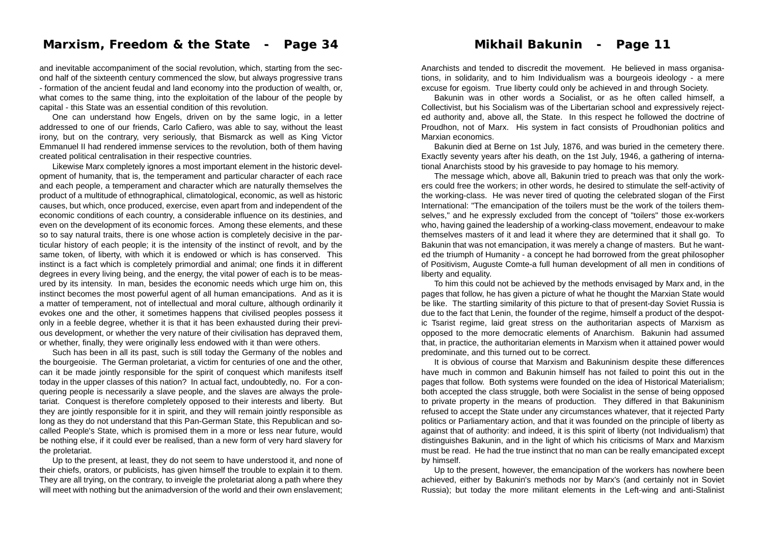## **Marxism, Freedom & the State - Page 34** Mikhail Bakunin - Page 11

and inevitable accompaniment of the social revolution, which, starting from the second half of the sixteenth century commenced the slow, but always progressive trans - formation of the ancient feudal and land economy into the production of wealth, or, what comes to the same thing, into the exploitation of the labour of the people by capital - this State was an essential condition of this revolution.

One can understand how Engels, driven on by the same logic, in a letter addressed to one of our friends, Carlo Cafiero, was able to say, without the least irony, but on the contrary, very seriously, that Bismarck as well as King Victor Emmanuel II had rendered immense services to the revolution, both of them having created political centralisation in their respective countries.

Likewise Marx completely ignores a most important element in the historic development of humanity, that is, the temperament and particular character of each race and each people, a temperament and character which are naturally themselves the product of a multitude of ethnographical, climatological, economic, as well as historic causes, but which, once produced, exercise, even apart from and independent of the economic conditions of each country, a considerable influence on its destinies, and even on the development of its economic forces. Among these elements, and these so to say natural traits, there is one whose action is completely decisive in the particular history of each people; it is the intensity of the instinct of revolt, and by the same token, of liberty, with which it is endowed or which is has conserved. This instinct is a fact which is completely primordial and animal; one finds it in different degrees in every living being, and the energy, the vital power of each is to be measured by its intensity. In man, besides the economic needs which urge him on, this instinct becomes the most powerful agent of all human emancipations. And as it is a matter of temperament, not of intellectual and moral culture, although ordinarily it evokes one and the other, it sometimes happens that civilised peoples possess it only in a feeble degree, whether it is that it has been exhausted during their previous development, or whether the very nature of their civilisation has depraved them, or whether, finally, they were originally less endowed with it than were others.

Such has been in all its past, such is still today the Germany of the nobles and the bourgeoisie. The German proletariat, a victim for centuries of one and the other, can it be made jointly responsible for the spirit of conquest which manifests itself today in the upper classes of this nation? In actual fact, undoubtedly, no. For a conquering people is necessarily a slave people, and the slaves are always the proletariat. Conquest is therefore completely opposed to their interests and liberty. But they are jointly responsible for it in spirit, and they will remain jointly responsible as long as they do not understand that this Pan-German State, this Republican and socalled People's State, which is promised them in a more or less near future, would be nothing else, if it could ever be realised, than a new form of very hard slavery for the proletariat.

Up to the present, at least, they do not seem to have understood it, and none of their chiefs, orators, or publicists, has given himself the trouble to explain it to them. They are all trying, on the contrary, to inveigle the proletariat along a path where they will meet with nothing but the animadversion of the world and their own enslavement;

Anarchists and tended to discredit the movement. He believed in mass organisations, in solidarity, and to him Individualism was a bourgeois ideology - a mere excuse for egoism. True liberty could only be achieved in and through Society.

Bakunin was in other words a Socialist, or as he often called himself, a Collectivist, but his Socialism was of the Libertarian school and expressively rejected authority and, above all, the State. In this respect he followed the doctrine of Proudhon, not of Marx. His system in fact consists of Proudhonian politics and Marxian economics.

Bakunin died at Berne on 1st July, 1876, and was buried in the cemetery there. Exactly seventy years after his death, on the 1st July, 1946, a gathering of international Anarchists stood by his graveside to pay homage to his memory.

The message which, above all, Bakunin tried to preach was that only the workers could free the workers; in other words, he desired to stimulate the self-activity of the working-class. He was never tired of quoting the celebrated slogan of the First International: "The emancipation of the toilers must be the work of the toilers themselves," and he expressly excluded from the concept of "toilers" those ex-workers who, having gained the leadership of a working-class movement, endeavour to make themselves masters of it and lead it where they are determined that it shall go. To Bakunin that was not emancipation, it was merely a change of masters. But he wanted the triumph of Humanity - a concept he had borrowed from the great philosopher of Positivism, Auguste Comte-a full human development of all men in conditions of liberty and equality.

To him this could not be achieved by the methods envisaged by Marx and, in the pages that follow, he has given a picture of what he thought the Marxian State would be like. The startling similarity of this picture to that of present-day Soviet Russia is due to the fact that Lenin, the founder of the regime, himself a product of the despotic Tsarist regime, laid great stress on the authoritarian aspects of Marxism as opposed to the more democratic elements of Anarchism. Bakunin had assumed that, in practice, the authoritarian elements in Marxism when it attained power would predominate, and this turned out to be correct.

It is obvious of course that Marxism and Bakuninism despite these differences have much in common and Bakunin himself has not failed to point this out in the pages that follow. Both systems were founded on the idea of Historical Materialism; both accepted the class struggle, both were Socialist in the sense of being opposed to private property in the means of production. They differed in that Bakuninism refused to accept the State under any circumstances whatever, that it rejected Party politics or Parliamentary action, and that it was founded on the principle of liberty as against that of authority: and indeed, it is this spirit of liberty (not Individualism) that distinguishes Bakunin, and in the light of which his criticisms of Marx and Marxism must be read. He had the true instinct that no man can be really emancipated except by himself.

Up to the present, however, the emancipation of the workers has nowhere been achieved, either by Bakunin's methods nor by Marx's (and certainly not in Soviet Russia); but today the more militant elements in the Left-wing and anti-Stalinist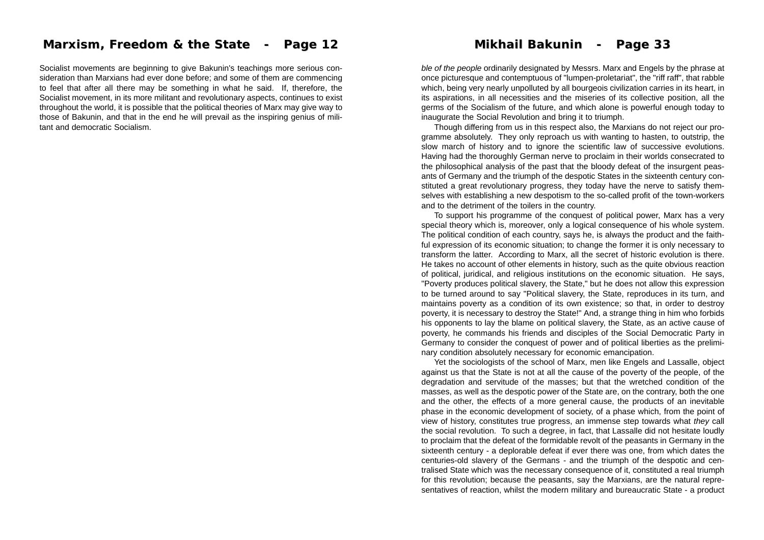### **Marxism, Freedom & the State - Page 12 Marxism, Freedom & the State - Page 12**

Socialist movements are beginning to give Bakunin's teachings more serious consideration than Marxians had ever done before; and some of them are commencing to feel that after all there may be something in what he said. If, therefore, the Socialist movement, in its more militant and revolutionary aspects, continues to exist throughout the world, it is possible that the political theories of Marx may give way to those of Bakunin, and that in the end he will prevail as the inspiring genius of militant and democratic Socialism.

### **Mikhail Bakunin - Page 33 Mikhail Bakunin - Page 33**

*ble of the people* ordinarily designated by Messrs. Marx and Engels by the phrase at once picturesque and contemptuous of "lumpen-proletariat", the "riff raff", that rabble which, being very nearly unpolluted by all bourgeois civilization carries in its heart, in its aspirations, in all necessities and the miseries of its collective position, all the germs of the Socialism of the future, and which alone is powerful enough today to inaugurate the Social Revolution and bring it to triumph.

Though differing from us in this respect also, the Marxians do not reject our programme absolutely. They only reproach us with wanting to hasten, to outstrip, the slow march of history and to ignore the scientific law of successive evolutions. Having had the thoroughly German nerve to proclaim in their worlds consecrated to the philosophical analysis of the past that the bloody defeat of the insurgent peasants of Germany and the triumph of the despotic States in the sixteenth century constituted a great revolutionary progress, they today have the nerve to satisfy themselves with establishing a new despotism to the so-called profit of the town-workers and to the detriment of the toilers in the country.

To support his programme of the conquest of political power, Marx has a very special theory which is, moreover, only a logical consequence of his whole system. The political condition of each country, says he, is always the product and the faithful expression of its economic situation; to change the former it is only necessary to transform the latter. According to Marx, all the secret of historic evolution is there. He takes no account of other elements in history, such as the quite obvious reaction of political, juridical, and religious institutions on the economic situation. He says, "Poverty produces political slavery, the State," but he does not allow this expression to be turned around to say "Political slavery, the State, reproduces in its turn, and maintains poverty as a condition of its own existence; so that, in order to destroy poverty, it is necessary to destroy the State!" And, a strange thing in him who forbids his opponents to lay the blame on political slavery, the State, as an active cause of poverty, he commands his friends and disciples of the Social Democratic Party in Germany to consider the conquest of power and of political liberties as the preliminary condition absolutely necessary for economic emancipation.

Yet the sociologists of the school of Marx, men like Engels and Lassalle, object against us that the State is not at all the cause of the poverty of the people, of the degradation and servitude of the masses; but that the wretched condition of the masses, as well as the despotic power of the State are, on the contrary, both the one and the other, the effects of a more general cause, the products of an inevitable phase in the economic development of society, of a phase which, from the point of view of history, constitutes true progress, an immense step towards what *they* call the social revolution. To such a degree, in fact, that Lassalle did not hesitate loudly to proclaim that the defeat of the formidable revolt of the peasants in Germany in the sixteenth century - a deplorable defeat if ever there was one, from which dates the centuries-old slavery of the Germans - and the triumph of the despotic and centralised State which was the necessary consequence of it, constituted a real triumph for this revolution; because the peasants, say the Marxians, are the natural representatives of reaction, whilst the modern military and bureaucratic State - a product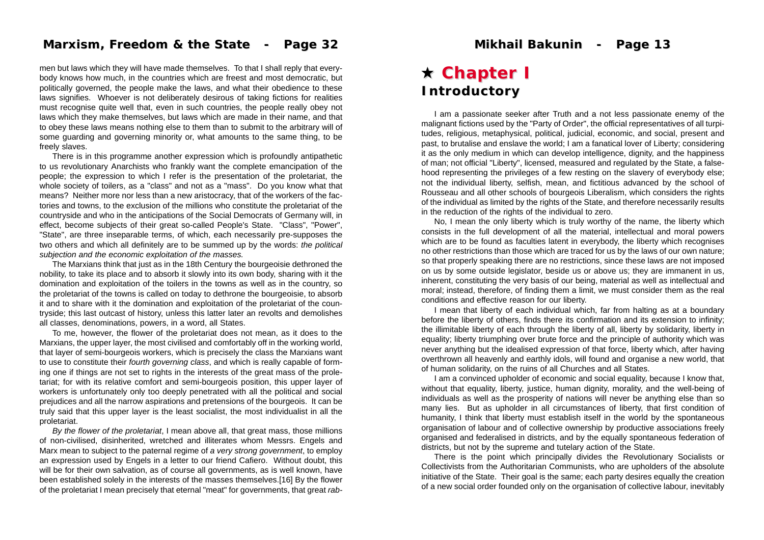## **Marxism, Freedom & the State - Page 32** Mikhail Bakunin - Page 13

men but laws which they will have made themselves. To that I shall reply that everybody knows how much, in the countries which are freest and most democratic, but politically governed, the people make the laws, and what their obedience to these laws signifies. Whoever is not deliberately desirous of taking fictions for realities must recognise quite well that, even in such countries, the people really obey not laws which they make themselves, but laws which are made in their name, and that to obey these laws means nothing else to them than to submit to the arbitrary will of some guarding and governing minority or, what amounts to the same thing, to be freely slaves.

There is in this programme another expression which is profoundly antipathetic to us revolutionary Anarchists who frankly want the complete emancipation of the people; the expression to which I refer is the presentation of the proletariat, the whole society of toilers, as a "class" and not as a "mass". Do you know what that means? Neither more nor less than a new aristocracy, that of the workers of the factories and towns, to the exclusion of the millions who constitute the proletariat of the countryside and who in the anticipations of the Social Democrats of Germany will, in effect, become subjects of their great so-called People's State. "Class", "Power", "State", are three inseparable terms, of which, each necessarily pre-supposes the two others and which all definitely are to be summed up by the words: *the political subjection and the economic exploitation of the masses.*

The Marxians think that just as in the 18th Century the bourgeoisie dethroned the nobility, to take its place and to absorb it slowly into its own body, sharing with it the domination and exploitation of the toilers in the towns as well as in the country, so the proletariat of the towns is called on today to dethrone the bourgeoisie, to absorb it and to share with it the domination and exploitation of the proletariat of the countryside; this last outcast of history, unless this latter later an revolts and demolishes all classes, denominations, powers, in a word, all States.

To me, however, the flower of the proletariat does not mean, as it does to the Marxians, the upper layer, the most civilised and comfortably off in the working world, that layer of semi-bourgeois workers, which is precisely the class the Marxians want to use to constitute their *fourth governing class*, and which is really capable of forming one if things are not set to rights in the interests of the great mass of the proletariat; for with its relative comfort and semi-bourgeois position, this upper layer of workers is unfortunately only too deeply penetrated with all the political and social prejudices and all the narrow aspirations and pretensions of the bourgeois. It can be truly said that this upper layer is the least socialist, the most individualist in all the proletariat.

*By the flower of the proletariat*, I mean above all, that great mass, those millions of non-civilised, disinherited, wretched and illiterates whom Messrs. Engels and Marx mean to subject to the paternal regime of *a very strong government*, to employ an expression used by Engels in a letter to our friend Cafiero. Without doubt, this will be for their own salvation, as of course all governments, as is well known, have been established solely in the interests of the masses themselves.[16] By the flower of the proletariat I mean precisely that eternal "meat" for governments, that great *rab-*

## ! **Chapter I Chapter I** *Introductory Introductory*

I am a passionate seeker after Truth and a not less passionate enemy of the malignant fictions used by the "Party of Order", the official representatives of all turpitudes, religious, metaphysical, political, judicial, economic, and social, present and past, to brutalise and enslave the world; I am a fanatical lover of Liberty; considering it as the only medium in which can develop intelligence, dignity, and the happiness of man; not official "Liberty", licensed, measured and regulated by the State, a falsehood representing the privileges of a few resting on the slavery of everybody else; not the individual liberty, selfish, mean, and fictitious advanced by the school of Rousseau and all other schools of bourgeois Liberalism, which considers the rights of the individual as limited by the rights of the State, and therefore necessarily results in the reduction of the rights of the individual to zero.

No, I mean the only liberty which is truly worthy of the name, the liberty which consists in the full development of all the material, intellectual and moral powers which are to be found as faculties latent in everybody, the liberty which recognises no other restrictions than those which are traced for us by the laws of our own nature; so that properly speaking there are no restrictions, since these laws are not imposed on us by some outside legislator, beside us or above us; they are immanent in us, inherent, constituting the very basis of our being, material as well as intellectual and moral; instead, therefore, of finding them a limit, we must consider them as the real conditions and effective reason for our liberty.

I mean that liberty of each individual which, far from halting as at a boundary before the liberty of others, finds there its confirmation and its extension to infinity; the illimitable liberty of each through the liberty of all, liberty by solidarity, liberty in equality; liberty triumphing over brute force and the principle of authority which was never anything but the idealised expression of that force, liberty which, after having overthrown all heavenly and earthly idols, will found and organise a new world, that of human solidarity, on the ruins of all Churches and all States.

I am a convinced upholder of economic and social equality, because I know that, without that equality, liberty, justice, human dignity, morality, and the well-being of individuals as well as the prosperity of nations will never be anything else than so many lies. But as upholder in all circumstances of liberty, that first condition of humanity, I think that liberty must establish itself in the world by the spontaneous organisation of labour and of collective ownership by productive associations freely organised and federalised in districts, and by the equally spontaneous federation of districts, but not by the supreme and tutelary action of the State.

There is the point which principally divides the Revolutionary Socialists or Collectivists from the Authoritarian Communists, who are upholders of the absolute initiative of the State. Their goal is the same; each party desires equally the creation of a new social order founded only on the organisation of collective labour, inevitably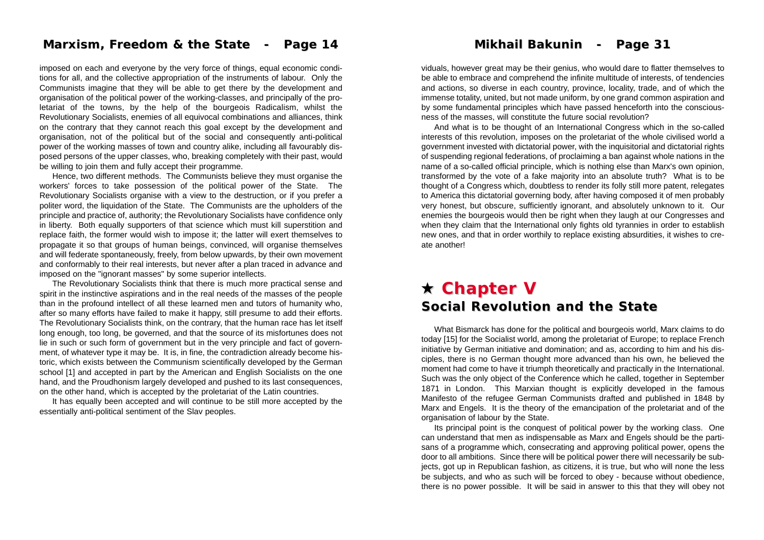### **Marxism, Freedom & the State - Page 14 Marxism, Freedom & the State - Page 14Mikhail Bakunin - Page 31 Mikhail Bakunin - Page 31**

imposed on each and everyone by the very force of things, equal economic conditions for all, and the collective appropriation of the instruments of labour. Only the Communists imagine that they will be able to get there by the development and organisation of the political power of the working-classes, and principally of the proletariat of the towns, by the help of the bourgeois Radicalism, whilst the Revolutionary Socialists, enemies of all equivocal combinations and alliances, think on the contrary that they cannot reach this goal except by the development and organisation, not of the political but of the social and consequently anti-political power of the working masses of town and country alike, including all favourably disposed persons of the upper classes, who, breaking completely with their past, would be willing to join them and fully accept their programme.

Hence, two different methods. The Communists believe they must organise the workers' forces to take possession of the political power of the State. The Revolutionary Socialists organise with a view to the destruction, or if you prefer a politer word, the liquidation of the State. The Communists are the upholders of the principle and practice of, authority; the Revolutionary Socialists have confidence only in liberty. Both equally supporters of that science which must kill superstition and replace faith, the former would wish to impose it; the latter will exert themselves to propagate it so that groups of human beings, convinced, will organise themselves and will federate spontaneously, freely, from below upwards, by their own movement and conformably to their real interests, but never after a plan traced in advance and imposed on the "ignorant masses" by some superior intellects.

The Revolutionary Socialists think that there is much more practical sense and spirit in the instinctive aspirations and in the real needs of the masses of the people than in the profound intellect of all these learned men and tutors of humanity who, after so many efforts have failed to make it happy, still presume to add their efforts. The Revolutionary Socialists think, on the contrary, that the human race has let itself long enough, too long, be governed, and that the source of its misfortunes does not lie in such or such form of government but in the very principle and fact of government, of whatever type it may be. It is, in fine, the contradiction already become historic, which exists between the Communism scientifically developed by the German school [1] and accepted in part by the American and English Socialists on the one hand, and the Proudhonism largely developed and pushed to its last consequences, on the other hand, which is accepted by the proletariat of the Latin countries.

It has equally been accepted and will continue to be still more accepted by the essentially anti-political sentiment of the Slav peoples.

viduals, however great may be their genius, who would dare to flatter themselves to be able to embrace and comprehend the infinite multitude of interests, of tendencies and actions, so diverse in each country, province, locality, trade, and of which the immense totality, united, but not made uniform, by one grand common aspiration and by some fundamental principles which have passed henceforth into the consciousness of the masses, will constitute the future social revolution?

And what is to be thought of an International Congress which in the so-called interests of this revolution, imposes on the proletariat of the whole civilised world a government invested with dictatorial power, with the inquisitorial and dictatorial rights of suspending regional federations, of proclaiming a ban against whole nations in the name of a so-called official principle, which is nothing else than Marx's own opinion, transformed by the vote of a fake majority into an absolute truth? What is to be thought of a Congress which, doubtless to render its folly still more patent, relegates to America this dictatorial governing body, after having composed it of men probably very honest, but obscure, sufficiently ignorant, and absolutely unknown to it. Our enemies the bourgeois would then be right when they laugh at our Congresses and when they claim that the International only fights old tyrannies in order to establish new ones, and that in order worthily to replace existing absurdities, it wishes to create another!

## ! **Chapter V Chapter V** *Social Revolution and the State Social Revolution and the State*

What Bismarck has done for the political and bourgeois world, Marx claims to do today [15] for the Socialist world, among the proletariat of Europe; to replace French initiative by German initiative and domination; and as, according to him and his disciples, there is no German thought more advanced than his own, he believed the moment had come to have it triumph theoretically and practically in the International. Such was the only object of the Conference which he called, together in September 1871 in London. This Marxian thought is explicitly developed in the famous Manifesto of the refugee German Communists drafted and published in 1848 by Marx and Engels. It is the theory of the emancipation of the proletariat and of the organisation of labour by the State.

Its principal point is the conquest of political power by the working class. One can understand that men as indispensable as Marx and Engels should be the partisans of a programme which, consecrating and approving political power, opens the door to all ambitions. Since there will be political power there will necessarily be subjects, got up in Republican fashion, as citizens, it is true, but who will none the less be subjects, and who as such will be forced to obey - because without obedience, there is no power possible. It will be said in answer to this that they will obey not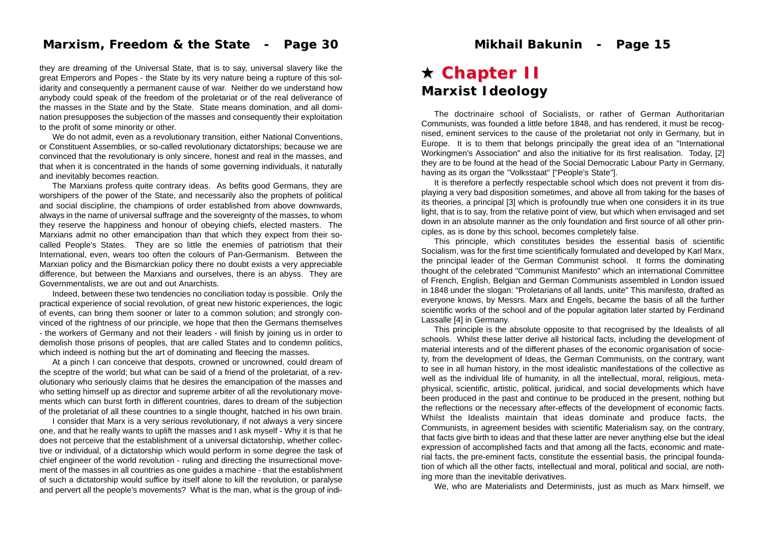## **Marxism, Freedom & the State - Page 30 Mikhail Bakunin - Page 15**

they are dreaming of the Universal State, that is to say, universal slavery like the great Emperors and Popes - the State by its very nature being a rupture of this solidarity and consequently a permanent cause of war. Neither do we understand how anybody could speak of the freedom of the proletariat or of the real deliverance of the masses in the State and by the State. State means domination, and all domination presupposes the subjection of the masses and consequently their exploitation to the profit of some minority or other.

We do not admit, even as a revolutionary transition, either National Conventions, or Constituent Assemblies, or so-called revolutionary dictatorships; because we are convinced that the revolutionary is only sincere, honest and real in the masses, and that when it is concentrated in the hands of some governing individuals, it naturally and inevitably becomes reaction.

The Marxians profess quite contrary ideas. As befits good Germans, they are worshipers of the power of the State, and necessarily also the prophets of political and social discipline, the champions of order established from above downwards, always in the name of universal suffrage and the sovereignty of the masses, to whom they reserve the happiness and honour of obeying chiefs, elected masters. The Marxians admit no other emancipation than that which they expect from their socalled People's States. They are so little the enemies of patriotism that their International, even, wears too often the colours of Pan-Germanism. Between the Marxian policy and the Bismarckian policy there no doubt exists a very appreciable difference, but between the Marxians and ourselves, there is an abyss. They are Governmentalists, we are out and out Anarchists.

Indeed, between these two tendencies no conciliation today is possible. Only the practical experience of social revolution, of great new historic experiences, the logic of events, can bring them sooner or later to a common solution; and strongly convinced of the rightness of our principle, we hope that then the Germans themselves - the workers of Germany and not their leaders - will finish by joining us in order to demolish those prisons of peoples, that are called States and to condemn politics, which indeed is nothing but the art of dominating and fleecing the masses.

At a pinch I can conceive that despots, crowned or uncrowned, could dream of the sceptre of the world; but what can be said of a friend of the proletariat, of a revolutionary who seriously claims that he desires the emancipation of the masses and who setting himself up as director and supreme arbiter of all the revolutionary movements which can burst forth in different countries, dares to dream of the subjection of the proletariat of all these countries to a single thought, hatched in his own brain.

I consider that Marx is a very serious revolutionary, if not always a very sincere one, and that he really wants to uplift the masses and I ask myself - Why it is that he does not perceive that the establishment of a universal dictatorship, whether collective or individual, of a dictatorship which would perform in some degree the task of chief engineer of the world revolution - ruling and directing the insurrectional movement of the masses in all countries as one guides a machine - that the establishment of such a dictatorship would suffice by itself alone to kill the revolution, or paralyse and pervert all the people's movements? What is the man, what is the group of indi-

## ! **Chapter II Chapter II** *Marxist Ideology Marxist Ideology*

The doctrinaire school of Socialists, or rather of German Authoritarian Communists, was founded a little before 1848, and has rendered, it must be recognised, eminent services to the cause of the proletariat not only in Germany, but in Europe. It is to them that belongs principally the great idea of an "International Workingmen's Association" and also the initiative for its first realisation. Today, [2] they are to be found at the head of the Social Democratic Labour Party in Germany, having as its organ the "Volksstaat" ["People's State"].

It is therefore a perfectly respectable school which does not prevent it from displaying a very bad disposition sometimes, and above all from taking for the bases of its theories, a principal [3] which is profoundly true when one considers it in its true light, that is to say, from the relative point of view, but which when envisaged and set down in an absolute manner as the only foundation and first source of all other principles, as is done by this school, becomes completely false.

This principle, which constitutes besides the essential basis of scientific Socialism, was for the first time scientifically formulated and developed by Karl Marx, the principal leader of the German Communist school. It forms the dominating thought of the celebrated "Communist Manifesto" which an international Committee of French, English, Belgian and German Communists assembled in London issued in 1848 under the slogan: "Proletarians of all lands, unite" This manifesto, drafted as everyone knows, by Messrs. Marx and Engels, became the basis of all the further scientific works of the school and of the popular agitation later started by Ferdinand Lassalle [4] in Germany.

This principle is the absolute opposite to that recognised by the Idealists of all schools. Whilst these latter derive all historical facts, including the development of material interests and of the different phases of the economic organisation of society, from the development of Ideas, the German Communists, on the contrary, want to see in all human history, in the most idealistic manifestations of the collective as well as the individual life of humanity, in all the intellectual, moral, religious, metaphysical, scientific, artistic, political, juridical, and social developments which have been produced in the past and continue to be produced in the present, nothing but the reflections or the necessary after-effects of the development of economic facts. Whilst the Idealists maintain that ideas dominate and produce facts, the Communists, in agreement besides with scientific Materialism say, on the contrary, that facts give birth to ideas and that these latter are never anything else but the ideal expression of accomplished facts and that among all the facts, economic and material facts, the pre-eminent facts, constitute the essential basis, the principal foundation of which all the other facts, intellectual and moral, political and social, are nothing more than the inevitable derivatives.

We, who are Materialists and Determinists, just as much as Marx himself, we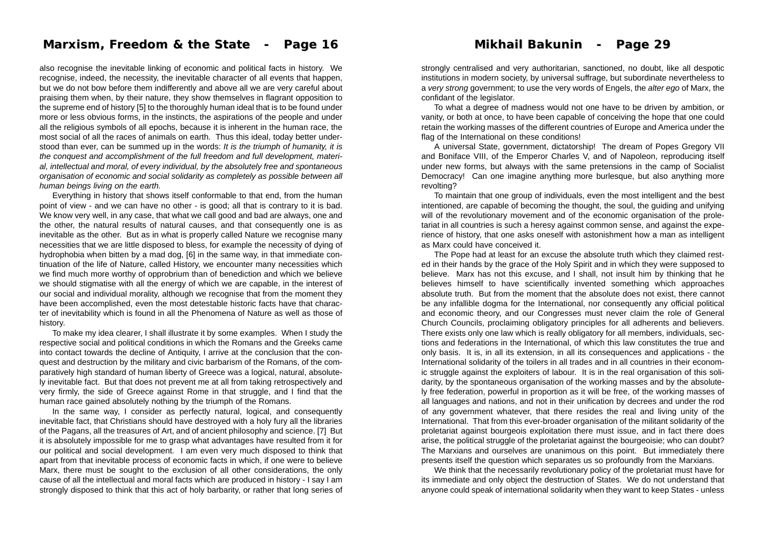### **Marxism, Freedom & the State - Page 16 Marxism, Freedom & the State - Page 16Mikhail Bakunin - Page 29 Mikhail Bakunin - Page 29**

also recognise the inevitable linking of economic and political facts in history. We recognise, indeed, the necessity, the inevitable character of all events that happen, but we do not bow before them indifferently and above all we are very careful about praising them when, by their nature, they show themselves in flagrant opposition to the supreme end of history [5] to the thoroughly human ideal that is to be found under more or less obvious forms, in the instincts, the aspirations of the people and under all the religious symbols of all epochs, because it is inherent in the human race, the most social of all the races of animals on earth. Thus this ideal, today better understood than ever, can be summed up in the words: *It is the triumph of humanity, it is the conquest and accomplishment of the full freedom and full development, material, intellectual and moral, of every individual, by the absolutely free and spontaneous organisation of economic and social solidarity as completely as possible between all human beings living on the earth.*

Everything in history that shows itself conformable to that end, from the human point of view - and we can have no other - is good; all that is contrary to it is bad. We know very well, in any case, that what we call good and bad are always, one and the other, the natural results of natural causes, and that consequently one is as inevitable as the other. But as in what is properly called Nature we recognise many necessities that we are little disposed to bless, for example the necessity of dying of hydrophobia when bitten by a mad dog, [6] in the same way, in that immediate continuation of the life of Nature, called History, we encounter many necessities which we find much more worthy of opprobrium than of benediction and which we believe we should stigmatise with all the energy of which we are capable, in the interest of our social and individual morality, although we recognise that from the moment they have been accomplished, even the most detestable historic facts have that character of inevitability which is found in all the Phenomena of Nature as well as those of history.

To make my idea clearer, I shall illustrate it by some examples. When I study the respective social and political conditions in which the Romans and the Greeks came into contact towards the decline of Antiquity, I arrive at the conclusion that the conquest and destruction by the military and civic barbarism of the Romans, of the comparatively high standard of human liberty of Greece was a logical, natural, absolutely inevitable fact. But that does not prevent me at all from taking retrospectively and very firmly, the side of Greece against Rome in that struggle, and I find that the human race gained absolutely nothing by the triumph of the Romans.

In the same way, I consider as perfectly natural, logical, and consequently inevitable fact, that Christians should have destroyed with a holy fury all the libraries of the Pagans, all the treasures of Art, and of ancient philosophy and science. [7] But it is absolutely impossible for me to grasp what advantages have resulted from it for our political and social development. I am even very much disposed to think that apart from that inevitable process of economic facts in which, if one were to believe Marx, there must be sought to the exclusion of all other considerations, the only cause of all the intellectual and moral facts which are produced in history - I say I am strongly disposed to think that this act of holy barbarity, or rather that long series of strongly centralised and very authoritarian, sanctioned, no doubt, like all despotic institutions in modern society, by universal suffrage, but subordinate nevertheless to <sup>a</sup>*very strong* government; to use the very words of Engels, the *alter ego* of Marx, the confidant of the legislator.

To what a degree of madness would not one have to be driven by ambition, or vanity, or both at once, to have been capable of conceiving the hope that one could retain the working masses of the different countries of Europe and America under the flag of the International on these conditions!

A universal State, government, dictatorship! The dream of Popes Gregory VII and Boniface VIII, of the Emperor Charles V, and of Napoleon, reproducing itself under new forms, but always with the same pretensions in the camp of Socialist Democracy! Can one imagine anything more burlesque, but also anything more revolting?

To maintain that one group of individuals, even the most intelligent and the best intentioned, are capable of becoming the thought, the soul, the guiding and unifying will of the revolutionary movement and of the economic organisation of the proletariat in all countries is such a heresy against common sense, and against the experience of history, that one asks oneself with astonishment how a man as intelligent as Marx could have conceived it.

The Pope had at least for an excuse the absolute truth which they claimed rested in their hands by the grace of the Holy Spirit and in which they were supposed to believe. Marx has not this excuse, and I shall, not insult him by thinking that he believes himself to have scientifically invented something which approaches absolute truth. But from the moment that the absolute does not exist, there cannot be any infallible dogma for the International, nor consequently any official political and economic theory, and our Congresses must never claim the role of General Church Councils, proclaiming obligatory principles for all adherents and believers. There exists only one law which is really obligatory for all members, individuals, sections and federations in the International, of which this law constitutes the true and only basis. It is, in all its extension, in all its consequences and applications - the International solidarity of the toilers in all trades and in all countries in their economic struggle against the exploiters of labour. It is in the real organisation of this solidarity, by the spontaneous organisation of the working masses and by the absolutely free federation, powerful in proportion as it will be free, of the working masses of all languages and nations, and not in their unification by decrees and under the rod of any government whatever, that there resides the real and living unity of the International. That from this ever-broader organisation of the militant solidarity of the proletariat against bourgeois exploitation there must issue, and in fact there does arise, the political struggle of the proletariat against the bourgeoisie; who can doubt? The Marxians and ourselves are unanimous on this point. But immediately there presents itself the question which separates us so profoundly from the Marxians.

We think that the necessarily revolutionary policy of the proletariat must have for its immediate and only object the destruction of States. We do not understand that anyone could speak of international solidarity when they want to keep States - unless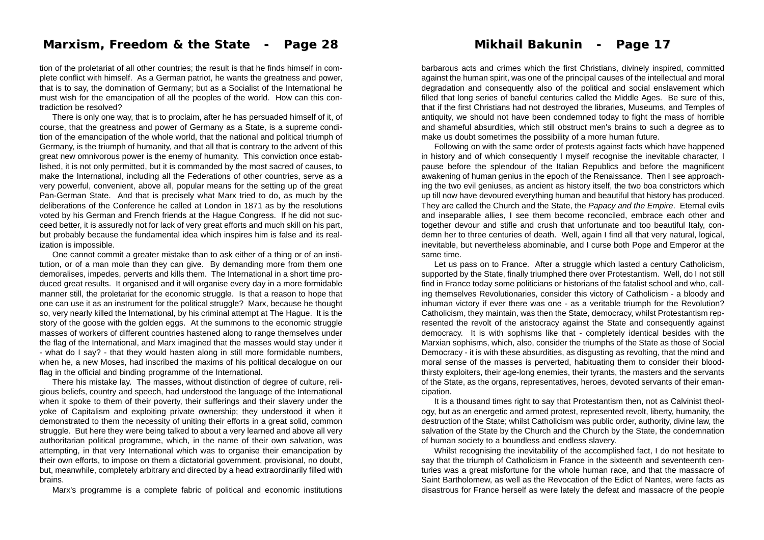## **Marxism, Freedom & the State - Page 28** Mikhail Bakunin - Page 17

tion of the proletariat of all other countries; the result is that he finds himself in complete conflict with himself. As a German patriot, he wants the greatness and power, that is to say, the domination of Germany; but as a Socialist of the International he must wish for the emancipation of all the peoples of the world. How can this contradiction be resolved?

There is only one way, that is to proclaim, after he has persuaded himself of it, of course, that the greatness and power of Germany as a State, is a supreme condition of the emancipation of the whole world, that the national and political triumph of Germany, is the triumph of humanity, and that all that is contrary to the advent of this great new omnivorous power is the enemy of humanity. This conviction once established, it is not only permitted, but it is commanded by the most sacred of causes, to make the International, including all the Federations of other countries, serve as a very powerful, convenient, above all, popular means for the setting up of the great Pan-German State. And that is precisely what Marx tried to do, as much by the deliberations of the Conference he called at London in 1871 as by the resolutions voted by his German and French friends at the Hague Congress. If he did not succeed better, it is assuredly not for lack of very great efforts and much skill on his part, but probably because the fundamental idea which inspires him is false and its realization is impossible.

One cannot commit a greater mistake than to ask either of a thing or of an institution, or of a man mole than they can give. By demanding more from them one demoralises, impedes, perverts and kills them. The International in a short time produced great results. It organised and it will organise every day in a more formidable manner still, the proletariat for the economic struggle. Is that a reason to hope that one can use it as an instrument for the political struggle? Marx, because he thought so, very nearly killed the International, by his criminal attempt at The Hague. It is the story of the goose with the golden eggs. At the summons to the economic struggle masses of workers of different countries hastened along to range themselves under the flag of the International, and Marx imagined that the masses would stay under it - what do I say? - that they would hasten along in still more formidable numbers, when he, a new Moses, had inscribed the maxims of his political decalogue on our flag in the official and binding programme of the International.

There his mistake lay. The masses, without distinction of degree of culture, religious beliefs, country and speech, had understood the language of the International when it spoke to them of their poverty, their sufferings and their slavery under the yoke of Capitalism and exploiting private ownership; they understood it when it demonstrated to them the necessity of uniting their efforts in a great solid, common struggle. But here they were being talked to about a very learned and above all very authoritarian political programme, which, in the name of their own salvation, was attempting, in that very International which was to organise their emancipation by their own efforts, to impose on them a dictatorial government, provisional, no doubt, but, meanwhile, completely arbitrary and directed by a head extraordinarily filled with brains.

Marx's programme is a complete fabric of political and economic institutions

barbarous acts and crimes which the first Christians, divinely inspired, committed against the human spirit, was one of the principal causes of the intellectual and moral degradation and consequently also of the political and social enslavement which filled that long series of baneful centuries called the Middle Ages. Be sure of this, that if the first Christians had not destroyed the libraries, Museums, and Temples of antiquity, we should not have been condemned today to fight the mass of horrible and shameful absurdities, which still obstruct men's brains to such a degree as to make us doubt sometimes the possibility of a more human future.

Following on with the same order of protests against facts which have happened in history and of which consequently I myself recognise the inevitable character, I pause before the splendour of the Italian Republics and before the magnificent awakening of human genius in the epoch of the Renaissance. Then I see approaching the two evil geniuses, as ancient as history itself, the two boa constrictors which up till now have devoured everything human and beautiful that history has produced. They are called the Church and the State, the *Papacy and the Empire*. Eternal evils and inseparable allies, I see them become reconciled, embrace each other and together devour and stifle and crush that unfortunate and too beautiful Italy, condemn her to three centuries of death. Well, again I find all that very natural, logical, inevitable, but nevertheless abominable, and I curse both Pope and Emperor at the same time.

Let us pass on to France. After a struggle which lasted a century Catholicism, supported by the State, finally triumphed there over Protestantism. Well, do I not still find in France today some politicians or historians of the fatalist school and who, calling themselves Revolutionaries, consider this victory of Catholicism - a bloody and inhuman victory if ever there was one - as a veritable triumph for the Revolution? Catholicism, they maintain, was then the State, democracy, whilst Protestantism represented the revolt of the aristocracy against the State and consequently against democracy. It is with sophisms like that - completely identical besides with the Marxian sophisms, which, also, consider the triumphs of the State as those of Social Democracy - it is with these absurdities, as disgusting as revolting, that the mind and moral sense of the masses is perverted, habituating them to consider their bloodthirsty exploiters, their age-long enemies, their tyrants, the masters and the servants of the State, as the organs, representatives, heroes, devoted servants of their emancipation.

It is a thousand times right to say that Protestantism then, not as Calvinist theology, but as an energetic and armed protest, represented revolt, liberty, humanity, the destruction of the State; whilst Catholicism was public order, authority, divine law, the salvation of the State by the Church and the Church by the State, the condemnation of human society to a boundless and endless slavery.

Whilst recognising the inevitability of the accomplished fact, I do not hesitate to say that the triumph of Catholicism in France in the sixteenth and seventeenth centuries was a great misfortune for the whole human race, and that the massacre of Saint Bartholomew, as well as the Revocation of the Edict of Nantes, were facts as disastrous for France herself as were lately the defeat and massacre of the people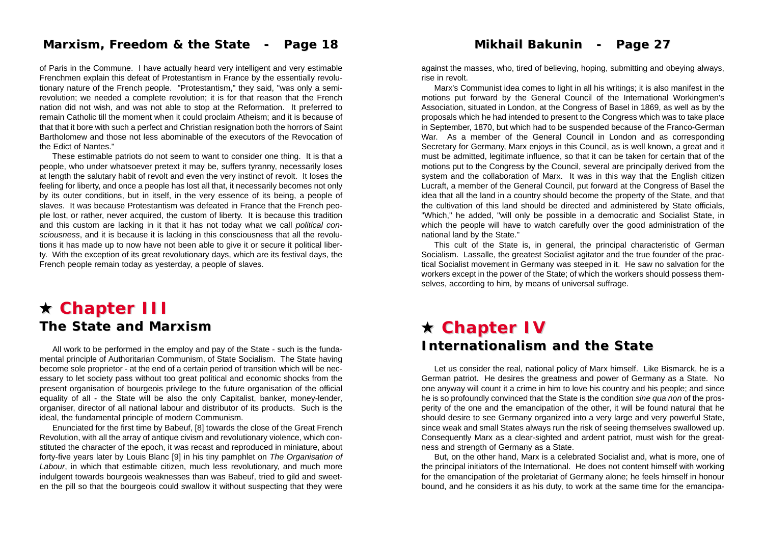## **Marxism, Freedom & the State - Page 18** Mikhail Bakunin - Page 27

of Paris in the Commune. I have actually heard very intelligent and very estimable Frenchmen explain this defeat of Protestantism in France by the essentially revolutionary nature of the French people. "Protestantism," they said, "was only a semirevolution; we needed a complete revolution; it is for that reason that the French nation did not wish, and was not able to stop at the Reformation. It preferred to remain Catholic till the moment when it could proclaim Atheism; and it is because of that that it bore with such a perfect and Christian resignation both the horrors of Saint Bartholomew and those not less abominable of the executors of the Revocation of the Edict of Nantes."

These estimable patriots do not seem to want to consider one thing. It is that a people, who under whatsoever pretext it may be, suffers tyranny, necessarily loses at length the salutary habit of revolt and even the very instinct of revolt. It loses the feeling for liberty, and once a people has lost all that, it necessarily becomes not only by its outer conditions, but in itself, in the very essence of its being, a people of slaves. It was because Protestantism was defeated in France that the French people lost, or rather, never acquired, the custom of liberty. It is because this tradition and this custom are lacking in it that it has not today what we call *political consciousness*, and it is because it is lacking in this consciousness that all the revolutions it has made up to now have not been able to give it or secure it political liberty. With the exception of its great revolutionary days, which are its festival days, the French people remain today as yesterday, a people of slaves.

## ! **Chapter III Chapter III** *The State and Marxism*

All work to be performed in the employ and pay of the State - such is the fundamental principle of Authoritarian Communism, of State Socialism. The State having become sole proprietor - at the end of a certain period of transition which will be necessary to let society pass without too great political and economic shocks from the present organisation of bourgeois privilege to the future organisation of the official equality of all - the State will be also the only Capitalist, banker, money-lender, organiser, director of all national labour and distributor of its products. Such is the ideal, the fundamental principle of modern Communism.

Enunciated for the first time by Babeuf, [8] towards the close of the Great French Revolution, with all the array of antique civism and revolutionary violence, which constituted the character of the epoch, it was recast and reproduced in miniature, about forty-five years later by Louis Blanc [9] in his tiny pamphlet on *The Organisation of Labour*, in which that estimable citizen, much less revolutionary, and much more indulgent towards bourgeois weaknesses than was Babeuf, tried to gild and sweeten the pill so that the bourgeois could swallow it without suspecting that they were

against the masses, who, tired of believing, hoping, submitting and obeying always, rise in revolt.

Marx's Communist idea comes to light in all his writings; it is also manifest in the motions put forward by the General Council of the International Workingmen's Association, situated in London, at the Congress of Basel in 1869, as well as by the proposals which he had intended to present to the Congress which was to take place in September, 1870, but which had to be suspended because of the Franco-German War. As a member of the General Council in London and as corresponding Secretary for Germany, Marx enjoys in this Council, as is well known, a great and it must be admitted, legitimate influence, so that it can be taken for certain that of the motions put to the Congress by the Council, several are principally derived from the system and the collaboration of Marx. It was in this way that the English citizen Lucraft, a member of the General Council, put forward at the Congress of Basel the idea that all the land in a country should become the property of the State, and that the cultivation of this land should be directed and administered by State officials, "Which," he added, "will only be possible in a democratic and Socialist State, in which the people will have to watch carefully over the good administration of the national land by the State."

This cult of the State is, in general, the principal characteristic of German Socialism. Lassalle, the greatest Socialist agitator and the true founder of the practical Socialist movement in Germany was steeped in it. He saw no salvation for the workers except in the power of the State; of which the workers should possess themselves, according to him, by means of universal suffrage.

## ! **Chapter IV Chapter IV** *Internationalism and the State Internationalism and the State*

Let us consider the real, national policy of Marx himself. Like Bismarck, he is a German patriot. He desires the greatness and power of Germany as a State. No one anyway will count it a crime in him to love his country and his people; and since he is so profoundly convinced that the State is the condition *sine qua non* of the prosperity of the one and the emancipation of the other, it will be found natural that he should desire to see Germany organized into a very large and very powerful State, since weak and small States always run the risk of seeing themselves swallowed up. Consequently Marx as a clear-sighted and ardent patriot, must wish for the greatness and strength of Germany as a State.

But, on the other hand, Marx is a celebrated Socialist and, what is more, one of the principal initiators of the International. He does not content himself with working for the emancipation of the proletariat of Germany alone; he feels himself in honour bound, and he considers it as his duty, to work at the same time for the emancipa-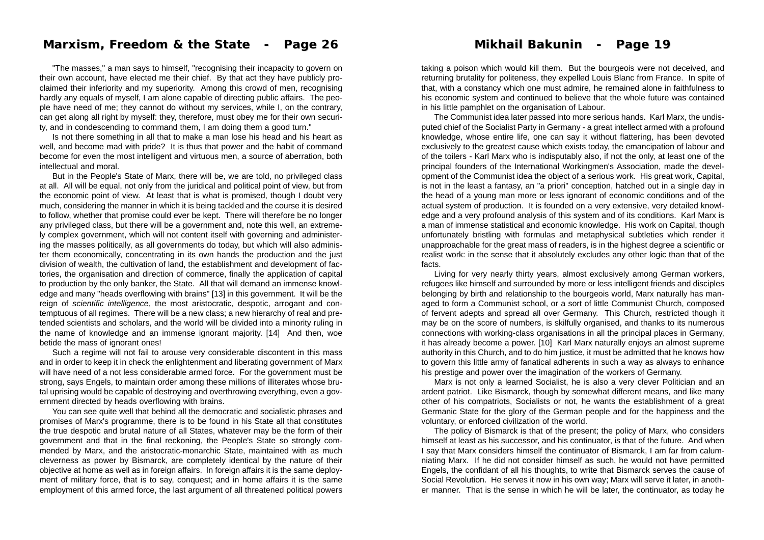### **Marxism, Freedom & the State - Page 26 Marxism, Freedom & the State - Page 26Mikhail Bakunin - Page 19 Mikhail Bakunin - Page 19**

"The masses," a man says to himself, "recognising their incapacity to govern on their own account, have elected me their chief. By that act they have publicly proclaimed their inferiority and my superiority. Among this crowd of men, recognising hardly any equals of myself, I am alone capable of directing public affairs. The people have need of me; they cannot do without my services, while I, on the contrary, can get along all right by myself: they, therefore, must obey me for their own security, and in condescending to command them, I am doing them a good turn."

Is not there something in all that to make a man lose his head and his heart as well, and become mad with pride? It is thus that power and the habit of command become for even the most intelligent and virtuous men, a source of aberration, both intellectual and moral.

But in the People's State of Marx, there will be, we are told, no privileged class at all. All will be equal, not only from the juridical and political point of view, but from the economic point of view. At least that is what is promised, though I doubt very much, considering the manner in which it is being tackled and the course it is desired to follow, whether that promise could ever be kept. There will therefore be no longer any privileged class, but there will be a government and, note this well, an extremely complex government, which will not content itself with governing and administering the masses politically, as all governments do today, but which will also administer them economically, concentrating in its own hands the production and the just division of wealth, the cultivation of land, the establishment and development of factories, the organisation and direction of commerce, finally the application of capital to production by the only banker, the State. All that will demand an immense knowledge and many "heads overflowing with brains" [13] in this government. It will be the reign of *scientific intelligence*, the most aristocratic, despotic, arrogant and contemptuous of all regimes. There will be a new class; a new hierarchy of real and pretended scientists and scholars, and the world will be divided into a minority ruling in the name of knowledge and an immense ignorant majority. [14] And then, woe betide the mass of ignorant ones!

Such a regime will not fail to arouse very considerable discontent in this mass and in order to keep it in check the enlightenment and liberating government of Marx will have need of a not less considerable armed force. For the government must be strong, says Engels, to maintain order among these millions of illiterates whose brutal uprising would be capable of destroying and overthrowing everything, even a government directed by heads overflowing with brains.

You can see quite well that behind all the democratic and socialistic phrases and promises of Marx's programme, there is to be found in his State all that constitutes the true despotic and brutal nature of all States, whatever may be the form of their government and that in the final reckoning, the People's State so strongly commended by Marx, and the aristocratic-monarchic State, maintained with as much cleverness as power by Bismarck, are completely identical by the nature of their objective at home as well as in foreign affairs. In foreign affairs it is the same deployment of military force, that is to say, conquest; and in home affairs it is the same employment of this armed force, the last argument of all threatened political powers

taking a poison which would kill them. But the bourgeois were not deceived, and returning brutality for politeness, they expelled Louis Blanc from France. In spite of that, with a constancy which one must admire, he remained alone in faithfulness to his economic system and continued to believe that the whole future was contained in his little pamphlet on the organisation of Labour.

The Communist idea later passed into more serious hands. Karl Marx, the undisputed chief of the Socialist Party in Germany - a great intellect armed with a profound knowledge, whose entire life, one can say it without flattering, has been devoted exclusively to the greatest cause which exists today, the emancipation of labour and of the toilers - Karl Marx who is indisputably also, if not the only, at least one of the principal founders of the International Workingmen's Association, made the development of the Communist idea the object of a serious work. His great work, Capital, is not in the least a fantasy, an "a priori" conception, hatched out in a single day in the head of a young man more or less ignorant of economic conditions and of the actual system of production. It is founded on a very extensive, very detailed knowledge and a very profound analysis of this system and of its conditions. Karl Marx is a man of immense statistical and economic knowledge. His work on Capital, though unfortunately bristling with formulas and metaphysical subtleties which render it unapproachable for the great mass of readers, is in the highest degree a scientific or realist work: in the sense that it absolutely excludes any other logic than that of the facts.

Living for very nearly thirty years, almost exclusively among German workers, refugees like himself and surrounded by more or less intelligent friends and disciples belonging by birth and relationship to the bourgeois world, Marx naturally has managed to form a Communist school, or a sort of little Communist Church, composed of fervent adepts and spread all over Germany. This Church, restricted though it may be on the score of numbers, is skilfully organised, and thanks to its numerous connections with working-class organisations in all the principal places in Germany, it has already become a power. [10] Karl Marx naturally enjoys an almost supreme authority in this Church, and to do him justice, it must be admitted that he knows how to govern this little army of fanatical adherents in such a way as always to enhance his prestige and power over the imagination of the workers of Germany.

Marx is not only a learned Socialist, he is also a very clever Politician and an ardent patriot. Like Bismarck, though by somewhat different means, and like many other of his compatriots, Socialists or not, he wants the establishment of a great Germanic State for the glory of the German people and for the happiness and the voluntary, or enforced civilization of the world.

The policy of Bismarck is that of the present; the policy of Marx, who considers himself at least as his successor, and his continuator, is that of the future. And when I say that Marx considers himself the continuator of Bismarck, I am far from calumniating Marx. If he did not consider himself as such, he would not have permitted Engels, the confidant of all his thoughts, to write that Bismarck serves the cause of Social Revolution. He serves it now in his own way; Marx will serve it later, in another manner. That is the sense in which he will be later, the continuator, as today he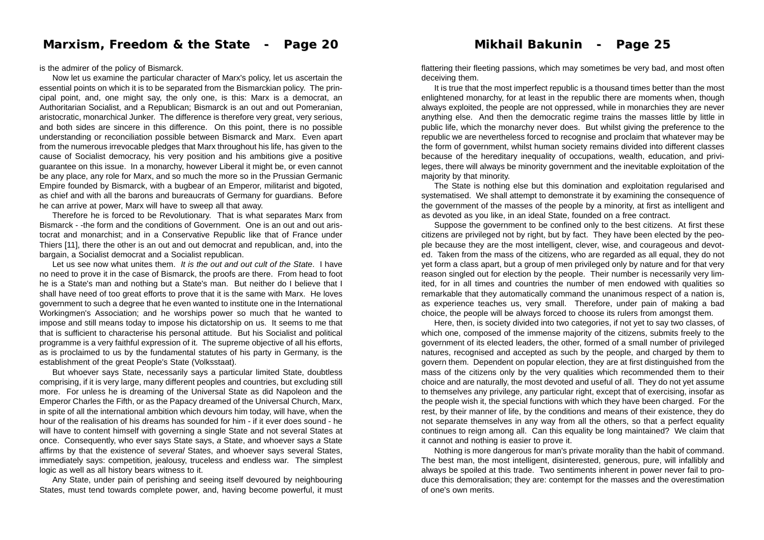is the admirer of the policy of Bismarck.

Now let us examine the particular character of Marx's policy, let us ascertain the essential points on which it is to be separated from the Bismarckian policy. The principal point, and, one might say, the only one, is this: Marx is a democrat, an Authoritarian Socialist, and a Republican; Bismarck is an out and out Pomeranian, aristocratic, monarchical Junker. The difference is therefore very great, very serious, and both sides are sincere in this difference. On this point, there is no possible understanding or reconciliation possible between Bismarck and Marx. Even apart from the numerous irrevocable pledges that Marx throughout his life, has given to the cause of Socialist democracy, his very position and his ambitions give a positive guarantee on this issue. In a monarchy, however Liberal it might be, or even cannot be any place, any role for Marx, and so much the more so in the Prussian Germanic Empire founded by Bismarck, with a bugbear of an Emperor, militarist and bigoted, as chief and with all the barons and bureaucrats of Germany for guardians. Before he can arrive at power, Marx will have to sweep all that away.

Therefore he is forced to be Revolutionary. That is what separates Marx from Bismarck - -the form and the conditions of Government. One is an out and out aristocrat and monarchist; and in a Conservative Republic like that of France under Thiers [11], there the other is an out and out democrat and republican, and, into the bargain, a Socialist democrat and a Socialist republican.

Let us see now what unites them. *It is the out and out cult of the State*. I have no need to prove it in the case of Bismarck, the proofs are there. From head to foot he is a State's man and nothing but a State's man. But neither do I believe that I shall have need of too great efforts to prove that it is the same with Marx. He loves government to such a degree that he even wanted to institute one in the International Workingmen's Association; and he worships power so much that he wanted to impose and still means today to impose his dictatorship on us. It seems to me that that is sufficient to characterise his personal attitude. But his Socialist and political programme is a very faithful expression of it. The supreme objective of all his efforts, as is proclaimed to us by the fundamental statutes of his party in Germany, is the establishment of the great People's State (Volksstaat).

But whoever says State, necessarily says a particular limited State, doubtless comprising, if it is very large, many different peoples and countries, but excluding still more. For unless he is dreaming of the Universal State as did Napoleon and the Emperor Charles the Fifth, or as the Papacy dreamed of the Universal Church, Marx, in spite of all the international ambition which devours him today, will have, when the hour of the realisation of his dreams has sounded for him - if it ever does sound - he will have to content himself with governing a single State and not several States at once. Consequently, who ever says State says, *<sup>a</sup>* State, and whoever says *<sup>a</sup>* State affirms by that the existence of *several* States, and whoever says several States, immediately says: competition, jealousy, truceless and endless war. The simplest logic as well as all history bears witness to it.

Any State, under pain of perishing and seeing itself devoured by neighbouring States, must tend towards complete power, and, having become powerful, it must flattering their fleeting passions, which may sometimes be very bad, and most often deceiving them.

It is true that the most imperfect republic is a thousand times better than the most enlightened monarchy, for at least in the republic there are moments when, though always exploited, the people are not oppressed, while in monarchies they are never anything else. And then the democratic regime trains the masses little by little in public life, which the monarchy never does. But whilst giving the preference to the republic we are nevertheless forced to recognise and proclaim that whatever may be the form of government, whilst human society remains divided into different classes because of the hereditary inequality of occupations, wealth, education, and privileges, there will always be minority government and the inevitable exploitation of the majority by that minority.

The State is nothing else but this domination and exploitation regularised and systematised. We shall attempt to demonstrate it by examining the consequence of the government of the masses of the people by a minority, at first as intelligent and as devoted as you like, in an ideal State, founded on a free contract.

Suppose the government to be confined only to the best citizens. At first these citizens are privileged not by right, but by fact. They have been elected by the people because they are the most intelligent, clever, wise, and courageous and devoted. Taken from the mass of the citizens, who are regarded as all equal, they do not yet form a class apart, but a group of men privileged only by nature and for that very reason singled out for election by the people. Their number is necessarily very limited, for in all times and countries the number of men endowed with qualities so remarkable that they automatically command the unanimous respect of a nation is, as experience teaches us, very small. Therefore, under pain of making a bad choice, the people will be always forced to choose its rulers from amongst them.

Here, then, is society divided into two categories, if not yet to say two classes, of which one, composed of the immense majority of the citizens, submits freely to the government of its elected leaders, the other, formed of a small number of privileged natures, recognised and accepted as such by the people, and charged by them to govern them. Dependent on popular election, they are at first distinguished from the mass of the citizens only by the very qualities which recommended them to their choice and are naturally, the most devoted and useful of all. They do not yet assume to themselves any privilege, any particular right, except that of exercising, insofar as the people wish it, the special functions with which they have been charged. For the rest, by their manner of life, by the conditions and means of their existence, they do not separate themselves in any way from all the others, so that a perfect equality continues to reign among all. Can this equality be long maintained? We claim that it cannot and nothing is easier to prove it.

Nothing is more dangerous for man's private morality than the habit of command. The best man, the most intelligent, disinterested, generous, pure, will infallibly and always be spoiled at this trade. Two sentiments inherent in power never fail to produce this demoralisation; they are: contempt for the masses and the overestimation of one's own merits.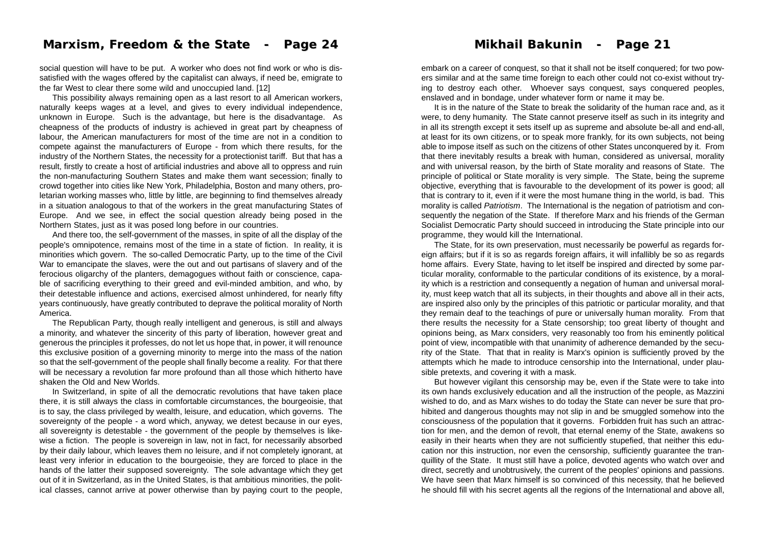social question will have to be put. A worker who does not find work or who is dissatisfied with the wages offered by the capitalist can always, if need be, emigrate to the far West to clear there some wild and unoccupied land. [12]

This possibility always remaining open as a last resort to all American workers, naturally keeps wages at a level, and gives to every individual independence, unknown in Europe. Such is the advantage, but here is the disadvantage. As cheapness of the products of industry is achieved in great part by cheapness of labour, the American manufacturers for most of the time are not in a condition to compete against the manufacturers of Europe - from which there results, for the industry of the Northern States, the necessity for a protectionist tariff. But that has a result, firstly to create a host of artificial industries and above all to oppress and ruin the non-manufacturing Southern States and make them want secession; finally to crowd together into cities like New York, Philadelphia, Boston and many others, proletarian working masses who, little by little, are beginning to find themselves already in a situation analogous to that of the workers in the great manufacturing States of Europe. And we see, in effect the social question already being posed in the Northern States, just as it was posed long before in our countries.

And there too, the self-government of the masses, in spite of all the display of the people's omnipotence, remains most of the time in a state of fiction. In reality, it is minorities which govern. The so-called Democratic Party, up to the time of the Civil War to emancipate the slaves, were the out and out partisans of slavery and of the ferocious oligarchy of the planters, demagogues without faith or conscience, capable of sacrificing everything to their greed and evil-minded ambition, and who, by their detestable influence and actions, exercised almost unhindered, for nearly fifty years continuously, have greatly contributed to deprave the political morality of North America.

The Republican Party, though really intelligent and generous, is still and always a minority, and whatever the sincerity of this party of liberation, however great and generous the principles it professes, do not let us hope that, in power, it will renounce this exclusive position of a governing minority to merge into the mass of the nation so that the self-government of the people shall finally become a reality. For that there will be necessary a revolution far more profound than all those which hitherto have shaken the Old and New Worlds.

In Switzerland, in spite of all the democratic revolutions that have taken place there, it is still always the class in comfortable circumstances, the bourgeoisie, that is to say, the class privileged by wealth, leisure, and education, which governs. The sovereignty of the people - a word which, anyway, we detest because in our eyes, all sovereignty is detestable - the government of the people by themselves is likewise a fiction. The people is sovereign in law, not in fact, for necessarily absorbed by their daily labour, which leaves them no leisure, and if not completely ignorant, at least very inferior in education to the bourgeoisie, they are forced to place in the hands of the latter their supposed sovereignty. The sole advantage which they get out of it in Switzerland, as in the United States, is that ambitious minorities, the political classes, cannot arrive at power otherwise than by paying court to the people, embark on a career of conquest, so that it shall not be itself conquered; for two powers similar and at the same time foreign to each other could not co-exist without trying to destroy each other. Whoever says conquest, says conquered peoples, enslaved and in bondage, under whatever form or name it may be.

It is in the nature of the State to break the solidarity of the human race and, as it were, to deny humanity. The State cannot preserve itself as such in its integrity and in all its strength except it sets itself up as supreme and absolute be-all and end-all, at least for its own citizens, or to speak more frankly, for its own subjects, not being able to impose itself as such on the citizens of other States unconquered by it. From that there inevitably results a break with human, considered as universal, morality and with universal reason, by the birth of State morality and reasons of State. The principle of political or State morality is very simple. The State, being the supreme objective, everything that is favourable to the development of its power is good; all that is contrary to it, even if it were the most humane thing in the world, is bad. This morality is called *Patriotism*. The International is the negation of patriotism and consequently the negation of the State. If therefore Marx and his friends of the German Socialist Democratic Party should succeed in introducing the State principle into our programme, they would kill the International.

The State, for its own preservation, must necessarily be powerful as regards foreign affairs; but if it is so as regards foreign affairs, it will infallibly be so as regards home affairs. Every State, having to let itself be inspired and directed by some particular morality, conformable to the particular conditions of its existence, by a morality which is a restriction and consequently a negation of human and universal morality, must keep watch that all its subjects, in their thoughts and above all in their acts, are inspired also only by the principles of this patriotic or particular morality, and that they remain deaf to the teachings of pure or universally human morality. From that there results the necessity for a State censorship; too great liberty of thought and opinions being, as Marx considers, very reasonably too from his eminently political point of view, incompatible with that unanimity of adherence demanded by the security of the State. That that in reality is Marx's opinion is sufficiently proved by the attempts which he made to introduce censorship into the International, under plausible pretexts, and covering it with a mask.

But however vigilant this censorship may be, even if the State were to take into its own hands exclusively education and all the instruction of the people, as Mazzini wished to do, and as Marx wishes to do today the State can never be sure that prohibited and dangerous thoughts may not slip in and be smuggled somehow into the consciousness of the population that it governs. Forbidden fruit has such an attraction for men, and the demon of revolt, that eternal enemy of the State, awakens so easily in their hearts when they are not sufficiently stupefied, that neither this education nor this instruction, nor even the censorship, sufficiently guarantee the tranquillity of the State. It must still have a police, devoted agents who watch over and direct, secretly and unobtrusively, the current of the peoples' opinions and passions. We have seen that Marx himself is so convinced of this necessity, that he believed he should fill with his secret agents all the regions of the International and above all,